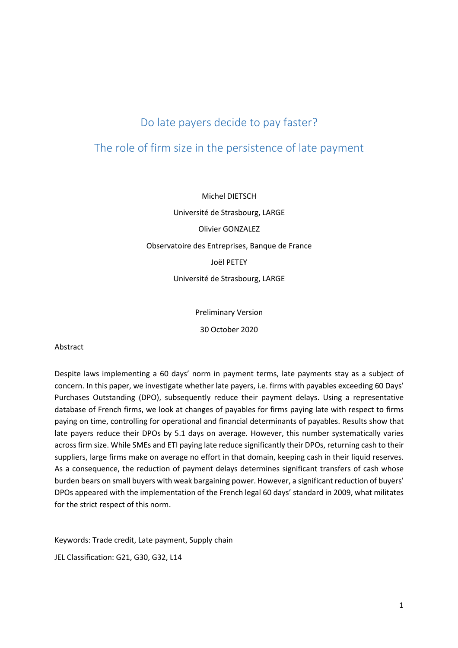# Do late payers decide to pay faster?

## The role of firm size in the persistence of late payment

Michel DIETSCH Université de Strasbourg, LARGE Olivier GONZALEZ Observatoire des Entreprises, Banque de France Joël PETEY Université de Strasbourg, LARGE

Preliminary Version

30 October 2020

## Abstract

Despite laws implementing a 60 days' norm in payment terms, late payments stay as a subject of concern. In this paper, we investigate whether late payers, i.e. firms with payables exceeding 60 Days' Purchases Outstanding (DPO), subsequently reduce their payment delays. Using a representative database of French firms, we look at changes of payables for firms paying late with respect to firms paying on time, controlling for operational and financial determinants of payables. Results show that late payers reduce their DPOs by 5.1 days on average. However, this number systematically varies across firm size. While SMEs and ETI paying late reduce significantly their DPOs, returning cash to their suppliers, large firms make on average no effort in that domain, keeping cash in their liquid reserves. As a consequence, the reduction of payment delays determines significant transfers of cash whose burden bears on small buyers with weak bargaining power. However, a significant reduction of buyers' DPOs appeared with the implementation of the French legal 60 days' standard in 2009, what militates for the strict respect of this norm.

Keywords: Trade credit, Late payment, Supply chain

JEL Classification: G21, G30, G32, L14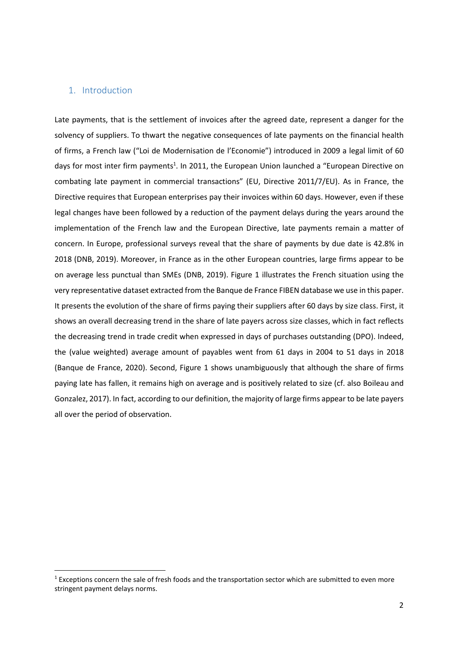## 1. Introduction

l

Late payments, that is the settlement of invoices after the agreed date, represent a danger for the solvency of suppliers. To thwart the negative consequences of late payments on the financial health of firms, a French law ("Loi de Modernisation de l'Economie") introduced in 2009 a legal limit of 60 days for most inter firm payments<sup>1</sup>. In 2011, the European Union launched a "European Directive on combating late payment in commercial transactions" (EU, Directive 2011/7/EU). As in France, the Directive requires that European enterprises pay their invoices within 60 days. However, even if these legal changes have been followed by a reduction of the payment delays during the years around the implementation of the French law and the European Directive, late payments remain a matter of concern. In Europe, professional surveys reveal that the share of payments by due date is 42.8% in 2018 (DNB, 2019). Moreover, in France as in the other European countries, large firms appear to be on average less punctual than SMEs (DNB, 2019). Figure 1 illustrates the French situation using the very representative dataset extracted from the Banque de France FIBEN database we use in this paper. It presents the evolution of the share of firms paying their suppliers after 60 days by size class. First, it shows an overall decreasing trend in the share of late payers across size classes, which in fact reflects the decreasing trend in trade credit when expressed in days of purchases outstanding (DPO). Indeed, the (value weighted) average amount of payables went from 61 days in 2004 to 51 days in 2018 (Banque de France, 2020). Second, Figure 1 shows unambiguously that although the share of firms paying late has fallen, it remains high on average and is positively related to size (cf. also Boileau and Gonzalez, 2017). In fact, according to our definition, the majority of large firms appear to be late payers all over the period of observation.

 $1$  Exceptions concern the sale of fresh foods and the transportation sector which are submitted to even more stringent payment delays norms.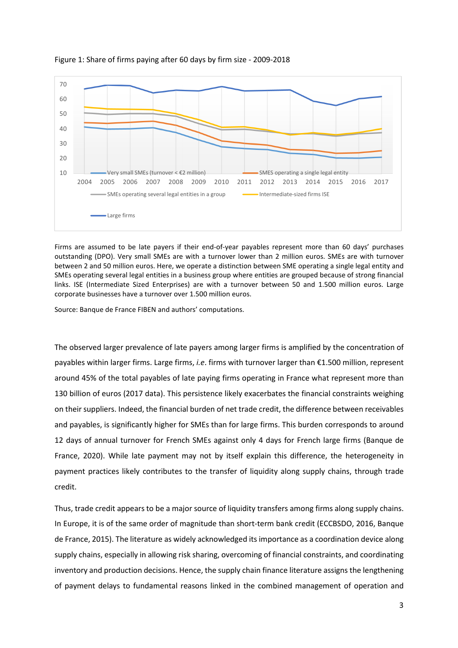

#### Figure 1: Share of firms paying after 60 days by firm size - 2009-2018

Firms are assumed to be late payers if their end-of-year payables represent more than 60 days' purchases outstanding (DPO). Very small SMEs are with a turnover lower than 2 million euros. SMEs are with turnover between 2 and 50 million euros. Here, we operate a distinction between SME operating a single legal entity and SMEs operating several legal entities in a business group where entities are grouped because of strong financial links. ISE (Intermediate Sized Enterprises) are with a turnover between 50 and 1.500 million euros. Large corporate businesses have a turnover over 1.500 million euros.

Source: Banque de France FIBEN and authors' computations.

The observed larger prevalence of late payers among larger firms is amplified by the concentration of payables within larger firms. Large firms, *i.e*. firms with turnover larger than €1.500 million, represent around 45% of the total payables of late paying firms operating in France what represent more than 130 billion of euros (2017 data). This persistence likely exacerbates the financial constraints weighing on their suppliers. Indeed, the financial burden of net trade credit, the difference between receivables and payables, is significantly higher for SMEs than for large firms. This burden corresponds to around 12 days of annual turnover for French SMEs against only 4 days for French large firms (Banque de France, 2020). While late payment may not by itself explain this difference, the heterogeneity in payment practices likely contributes to the transfer of liquidity along supply chains, through trade credit.

Thus, trade credit appears to be a major source of liquidity transfers among firms along supply chains. In Europe, it is of the same order of magnitude than short-term bank credit (ECCBSDO, 2016, Banque de France, 2015). The literature as widely acknowledged its importance as a coordination device along supply chains, especially in allowing risk sharing, overcoming of financial constraints, and coordinating inventory and production decisions. Hence, the supply chain finance literature assigns the lengthening of payment delays to fundamental reasons linked in the combined management of operation and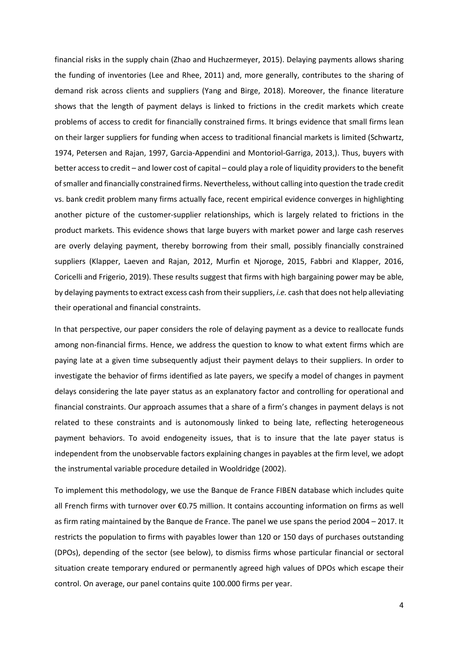financial risks in the supply chain (Zhao and Huchzermeyer, 2015). Delaying payments allows sharing the funding of inventories (Lee and Rhee, 2011) and, more generally, contributes to the sharing of demand risk across clients and suppliers (Yang and Birge, 2018). Moreover, the finance literature shows that the length of payment delays is linked to frictions in the credit markets which create problems of access to credit for financially constrained firms. It brings evidence that small firms lean on their larger suppliers for funding when access to traditional financial markets is limited (Schwartz, 1974, Petersen and Rajan, 1997, Garcia-Appendini and Montoriol-Garriga, 2013,). Thus, buyers with better access to credit – and lower cost of capital – could play a role of liquidity providers to the benefit of smaller and financially constrained firms. Nevertheless, without calling into question the trade credit vs. bank credit problem many firms actually face, recent empirical evidence converges in highlighting another picture of the customer-supplier relationships, which is largely related to frictions in the product markets. This evidence shows that large buyers with market power and large cash reserves are overly delaying payment, thereby borrowing from their small, possibly financially constrained suppliers (Klapper, Laeven and Rajan, 2012, Murfin et Njoroge, 2015, Fabbri and Klapper, 2016, Coricelli and Frigerio, 2019). These results suggest that firms with high bargaining power may be able, by delaying payments to extract excess cash from their suppliers, *i.e.* cash that does not help alleviating their operational and financial constraints.

In that perspective, our paper considers the role of delaying payment as a device to reallocate funds among non-financial firms. Hence, we address the question to know to what extent firms which are paying late at a given time subsequently adjust their payment delays to their suppliers. In order to investigate the behavior of firms identified as late payers, we specify a model of changes in payment delays considering the late payer status as an explanatory factor and controlling for operational and financial constraints. Our approach assumes that a share of a firm's changes in payment delays is not related to these constraints and is autonomously linked to being late, reflecting heterogeneous payment behaviors. To avoid endogeneity issues, that is to insure that the late payer status is independent from the unobservable factors explaining changes in payables at the firm level, we adopt the instrumental variable procedure detailed in Wooldridge (2002).

To implement this methodology, we use the Banque de France FIBEN database which includes quite all French firms with turnover over €0.75 million. It contains accounting information on firms as well as firm rating maintained by the Banque de France. The panel we use spans the period 2004 – 2017. It restricts the population to firms with payables lower than 120 or 150 days of purchases outstanding (DPOs), depending of the sector (see below), to dismiss firms whose particular financial or sectoral situation create temporary endured or permanently agreed high values of DPOs which escape their control. On average, our panel contains quite 100.000 firms per year.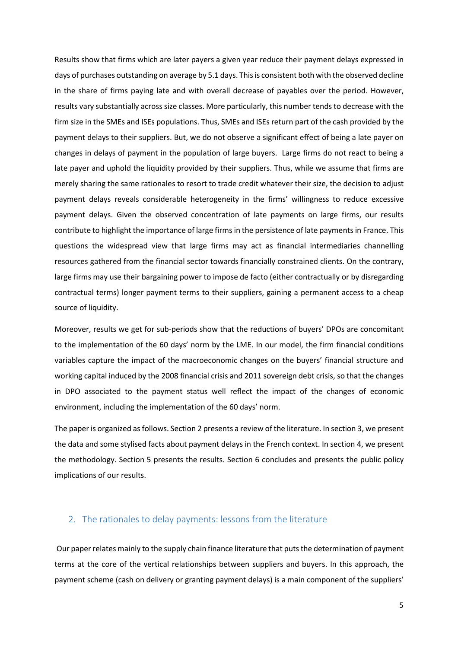Results show that firms which are later payers a given year reduce their payment delays expressed in days of purchases outstanding on average by 5.1 days. This is consistent both with the observed decline in the share of firms paying late and with overall decrease of payables over the period. However, results vary substantially across size classes. More particularly, this number tends to decrease with the firm size in the SMEs and ISEs populations. Thus, SMEs and ISEs return part of the cash provided by the payment delays to their suppliers. But, we do not observe a significant effect of being a late payer on changes in delays of payment in the population of large buyers. Large firms do not react to being a late payer and uphold the liquidity provided by their suppliers. Thus, while we assume that firms are merely sharing the same rationales to resort to trade credit whatever their size, the decision to adjust payment delays reveals considerable heterogeneity in the firms' willingness to reduce excessive payment delays. Given the observed concentration of late payments on large firms, our results contribute to highlight the importance of large firms in the persistence of late payments in France. This questions the widespread view that large firms may act as financial intermediaries channelling resources gathered from the financial sector towards financially constrained clients. On the contrary, large firms may use their bargaining power to impose de facto (either contractually or by disregarding contractual terms) longer payment terms to their suppliers, gaining a permanent access to a cheap source of liquidity.

Moreover, results we get for sub-periods show that the reductions of buyers' DPOs are concomitant to the implementation of the 60 days' norm by the LME. In our model, the firm financial conditions variables capture the impact of the macroeconomic changes on the buyers' financial structure and working capital induced by the 2008 financial crisis and 2011 sovereign debt crisis, so that the changes in DPO associated to the payment status well reflect the impact of the changes of economic environment, including the implementation of the 60 days' norm.

The paper is organized as follows. Section 2 presents a review of the literature. In section 3, we present the data and some stylised facts about payment delays in the French context. In section 4, we present the methodology. Section 5 presents the results. Section 6 concludes and presents the public policy implications of our results.

## 2. The rationales to delay payments: lessons from the literature

 Our paper relates mainly to the supply chain finance literature that puts the determination of payment terms at the core of the vertical relationships between suppliers and buyers. In this approach, the payment scheme (cash on delivery or granting payment delays) is a main component of the suppliers'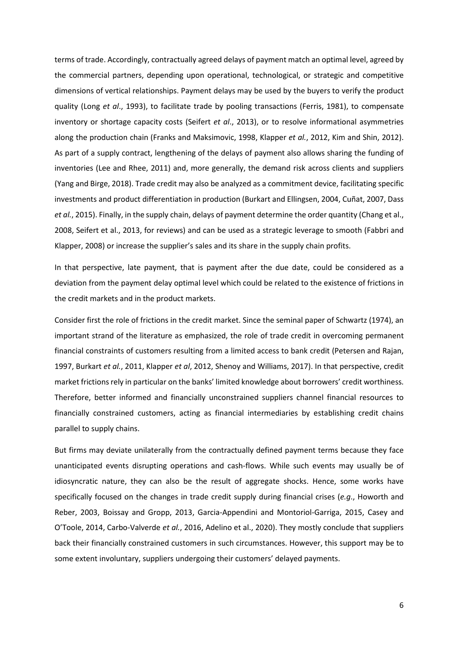terms of trade. Accordingly, contractually agreed delays of payment match an optimal level, agreed by the commercial partners, depending upon operational, technological, or strategic and competitive dimensions of vertical relationships. Payment delays may be used by the buyers to verify the product quality (Long *et al*., 1993), to facilitate trade by pooling transactions (Ferris, 1981), to compensate inventory or shortage capacity costs (Seifert *et al*., 2013), or to resolve informational asymmetries along the production chain (Franks and Maksimovic, 1998, Klapper *et al.*, 2012, Kim and Shin, 2012). As part of a supply contract, lengthening of the delays of payment also allows sharing the funding of inventories (Lee and Rhee, 2011) and, more generally, the demand risk across clients and suppliers (Yang and Birge, 2018). Trade credit may also be analyzed as a commitment device, facilitating specific investments and product differentiation in production (Burkart and Ellingsen, 2004, Cuñat, 2007, Dass *et al.*, 2015). Finally, in the supply chain, delays of payment determine the order quantity (Chang et al., 2008, Seifert et al., 2013, for reviews) and can be used as a strategic leverage to smooth (Fabbri and Klapper, 2008) or increase the supplier's sales and its share in the supply chain profits.

In that perspective, late payment, that is payment after the due date, could be considered as a deviation from the payment delay optimal level which could be related to the existence of frictions in the credit markets and in the product markets.

Consider first the role of frictions in the credit market. Since the seminal paper of Schwartz (1974), an important strand of the literature as emphasized, the role of trade credit in overcoming permanent financial constraints of customers resulting from a limited access to bank credit (Petersen and Rajan, 1997, Burkart *et al.*, 2011, Klapper *et al*, 2012, Shenoy and Williams, 2017). In that perspective, credit market frictions rely in particular on the banks' limited knowledge about borrowers' credit worthiness. Therefore, better informed and financially unconstrained suppliers channel financial resources to financially constrained customers, acting as financial intermediaries by establishing credit chains parallel to supply chains.

But firms may deviate unilaterally from the contractually defined payment terms because they face unanticipated events disrupting operations and cash-flows. While such events may usually be of idiosyncratic nature, they can also be the result of aggregate shocks. Hence, some works have specifically focused on the changes in trade credit supply during financial crises (*e.g*., Howorth and Reber, 2003, Boissay and Gropp, 2013, Garcia-Appendini and Montoriol-Garriga, 2015, Casey and O'Toole, 2014, Carbo-Valverde *et al.*, 2016, Adelino et al., 2020). They mostly conclude that suppliers back their financially constrained customers in such circumstances. However, this support may be to some extent involuntary, suppliers undergoing their customers' delayed payments.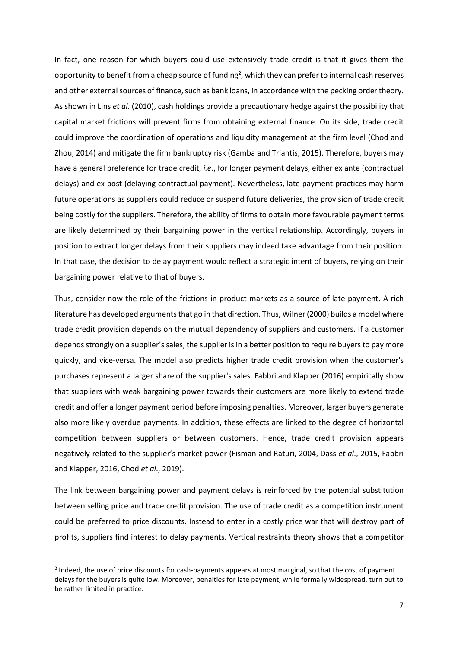In fact, one reason for which buyers could use extensively trade credit is that it gives them the opportunity to benefit from a cheap source of funding<sup>2</sup>, which they can prefer to internal cash reserves and other external sources of finance, such as bank loans, in accordance with the pecking order theory. As shown in Lins *et al*. (2010), cash holdings provide a precautionary hedge against the possibility that capital market frictions will prevent firms from obtaining external finance. On its side, trade credit could improve the coordination of operations and liquidity management at the firm level (Chod and Zhou, 2014) and mitigate the firm bankruptcy risk (Gamba and Triantis, 2015). Therefore, buyers may have a general preference for trade credit, *i.e.*, for longer payment delays, either ex ante (contractual delays) and ex post (delaying contractual payment). Nevertheless, late payment practices may harm future operations as suppliers could reduce or suspend future deliveries, the provision of trade credit being costly for the suppliers. Therefore, the ability of firms to obtain more favourable payment terms are likely determined by their bargaining power in the vertical relationship. Accordingly, buyers in position to extract longer delays from their suppliers may indeed take advantage from their position. In that case, the decision to delay payment would reflect a strategic intent of buyers, relying on their bargaining power relative to that of buyers.

Thus, consider now the role of the frictions in product markets as a source of late payment. A rich literature has developed arguments that go in that direction. Thus, Wilner (2000) builds a model where trade credit provision depends on the mutual dependency of suppliers and customers. If a customer depends strongly on a supplier's sales, the supplier is in a better position to require buyers to pay more quickly, and vice-versa. The model also predicts higher trade credit provision when the customer's purchases represent a larger share of the supplier's sales. Fabbri and Klapper (2016) empirically show that suppliers with weak bargaining power towards their customers are more likely to extend trade credit and offer a longer payment period before imposing penalties. Moreover, larger buyers generate also more likely overdue payments. In addition, these effects are linked to the degree of horizontal competition between suppliers or between customers. Hence, trade credit provision appears negatively related to the supplier's market power (Fisman and Raturi, 2004, Dass *et al*., 2015, Fabbri and Klapper, 2016, Chod *et al*., 2019).

The link between bargaining power and payment delays is reinforced by the potential substitution between selling price and trade credit provision. The use of trade credit as a competition instrument could be preferred to price discounts. Instead to enter in a costly price war that will destroy part of profits, suppliers find interest to delay payments. Vertical restraints theory shows that a competitor

 $\overline{a}$ 

<sup>&</sup>lt;sup>2</sup> Indeed, the use of price discounts for cash-payments appears at most marginal, so that the cost of payment delays for the buyers is quite low. Moreover, penalties for late payment, while formally widespread, turn out to be rather limited in practice.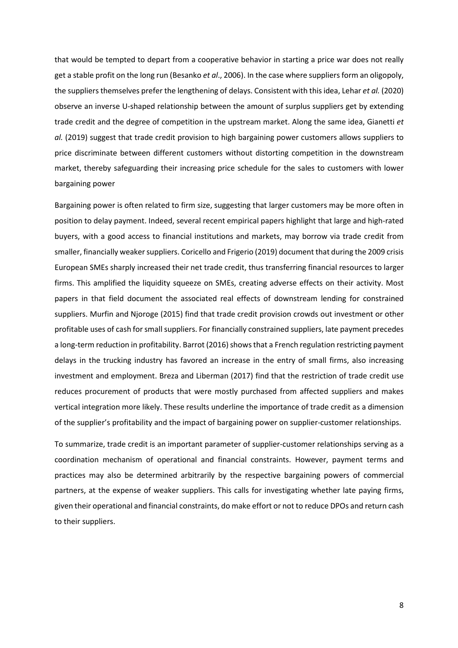that would be tempted to depart from a cooperative behavior in starting a price war does not really get a stable profit on the long run (Besanko *et al*., 2006). In the case where suppliers form an oligopoly, the suppliers themselves prefer the lengthening of delays. Consistent with this idea, Lehar *et al.* (2020) observe an inverse U-shaped relationship between the amount of surplus suppliers get by extending trade credit and the degree of competition in the upstream market. Along the same idea, Gianetti *et al.* (2019) suggest that trade credit provision to high bargaining power customers allows suppliers to price discriminate between different customers without distorting competition in the downstream market, thereby safeguarding their increasing price schedule for the sales to customers with lower bargaining power

Bargaining power is often related to firm size, suggesting that larger customers may be more often in position to delay payment. Indeed, several recent empirical papers highlight that large and high-rated buyers, with a good access to financial institutions and markets, may borrow via trade credit from smaller, financially weaker suppliers. Coricello and Frigerio (2019) document that during the 2009 crisis European SMEs sharply increased their net trade credit, thus transferring financial resources to larger firms. This amplified the liquidity squeeze on SMEs, creating adverse effects on their activity. Most papers in that field document the associated real effects of downstream lending for constrained suppliers. Murfin and Njoroge (2015) find that trade credit provision crowds out investment or other profitable uses of cash for small suppliers. For financially constrained suppliers, late payment precedes a long-term reduction in profitability. Barrot (2016) shows that a French regulation restricting payment delays in the trucking industry has favored an increase in the entry of small firms, also increasing investment and employment. Breza and Liberman (2017) find that the restriction of trade credit use reduces procurement of products that were mostly purchased from affected suppliers and makes vertical integration more likely. These results underline the importance of trade credit as a dimension of the supplier's profitability and the impact of bargaining power on supplier-customer relationships.

To summarize, trade credit is an important parameter of supplier-customer relationships serving as a coordination mechanism of operational and financial constraints. However, payment terms and practices may also be determined arbitrarily by the respective bargaining powers of commercial partners, at the expense of weaker suppliers. This calls for investigating whether late paying firms, given their operational and financial constraints, do make effort or not to reduce DPOs and return cash to their suppliers.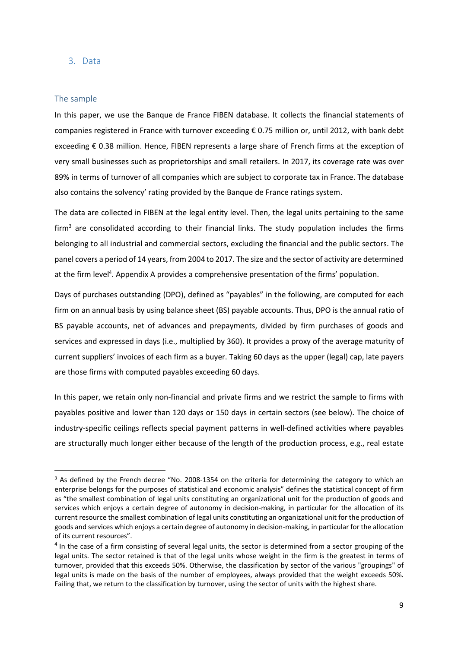## 3. Data

## The sample

l

In this paper, we use the Banque de France FIBEN database. It collects the financial statements of companies registered in France with turnover exceeding € 0.75 million or, until 2012, with bank debt exceeding € 0.38 million. Hence, FIBEN represents a large share of French firms at the exception of very small businesses such as proprietorships and small retailers. In 2017, its coverage rate was over 89% in terms of turnover of all companies which are subject to corporate tax in France. The database also contains the solvency' rating provided by the Banque de France ratings system.

The data are collected in FIBEN at the legal entity level. Then, the legal units pertaining to the same firm<sup>3</sup> are consolidated according to their financial links. The study population includes the firms belonging to all industrial and commercial sectors, excluding the financial and the public sectors. The panel covers a period of 14 years, from 2004 to 2017. The size and the sector of activity are determined at the firm level<sup>4</sup>. Appendix A provides a comprehensive presentation of the firms' population.

Days of purchases outstanding (DPO), defined as "payables" in the following, are computed for each firm on an annual basis by using balance sheet (BS) payable accounts. Thus, DPO is the annual ratio of BS payable accounts, net of advances and prepayments, divided by firm purchases of goods and services and expressed in days (i.e., multiplied by 360). It provides a proxy of the average maturity of current suppliers' invoices of each firm as a buyer. Taking 60 days as the upper (legal) cap, late payers are those firms with computed payables exceeding 60 days.

In this paper, we retain only non-financial and private firms and we restrict the sample to firms with payables positive and lower than 120 days or 150 days in certain sectors (see below). The choice of industry-specific ceilings reflects special payment patterns in well-defined activities where payables are structurally much longer either because of the length of the production process, e.g., real estate

<sup>&</sup>lt;sup>3</sup> As defined by the French decree "No. 2008-1354 on the criteria for determining the category to which an enterprise belongs for the purposes of statistical and economic analysis" defines the statistical concept of firm as "the smallest combination of legal units constituting an organizational unit for the production of goods and services which enjoys a certain degree of autonomy in decision-making, in particular for the allocation of its current resource the smallest combination of legal units constituting an organizational unit for the production of goods and services which enjoys a certain degree of autonomy in decision-making, in particular for the allocation of its current resources".

 $<sup>4</sup>$  In the case of a firm consisting of several legal units, the sector is determined from a sector grouping of the</sup> legal units. The sector retained is that of the legal units whose weight in the firm is the greatest in terms of turnover, provided that this exceeds 50%. Otherwise, the classification by sector of the various "groupings" of legal units is made on the basis of the number of employees, always provided that the weight exceeds 50%. Failing that, we return to the classification by turnover, using the sector of units with the highest share.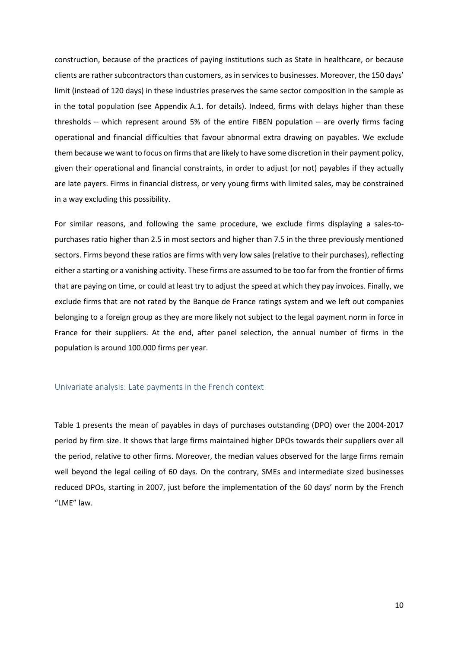construction, because of the practices of paying institutions such as State in healthcare, or because clients are rather subcontractors than customers, as in services to businesses. Moreover, the 150 days' limit (instead of 120 days) in these industries preserves the same sector composition in the sample as in the total population (see Appendix A.1. for details). Indeed, firms with delays higher than these thresholds – which represent around 5% of the entire FIBEN population – are overly firms facing operational and financial difficulties that favour abnormal extra drawing on payables. We exclude them because we want to focus on firms that are likely to have some discretion in their payment policy, given their operational and financial constraints, in order to adjust (or not) payables if they actually are late payers. Firms in financial distress, or very young firms with limited sales, may be constrained in a way excluding this possibility.

For similar reasons, and following the same procedure, we exclude firms displaying a sales-topurchases ratio higher than 2.5 in most sectors and higher than 7.5 in the three previously mentioned sectors. Firms beyond these ratios are firms with very low sales (relative to their purchases), reflecting either a starting or a vanishing activity. These firms are assumed to be too far from the frontier of firms that are paying on time, or could at least try to adjust the speed at which they pay invoices. Finally, we exclude firms that are not rated by the Banque de France ratings system and we left out companies belonging to a foreign group as they are more likely not subject to the legal payment norm in force in France for their suppliers. At the end, after panel selection, the annual number of firms in the population is around 100.000 firms per year.

#### Univariate analysis: Late payments in the French context

Table 1 presents the mean of payables in days of purchases outstanding (DPO) over the 2004-2017 period by firm size. It shows that large firms maintained higher DPOs towards their suppliers over all the period, relative to other firms. Moreover, the median values observed for the large firms remain well beyond the legal ceiling of 60 days. On the contrary, SMEs and intermediate sized businesses reduced DPOs, starting in 2007, just before the implementation of the 60 days' norm by the French "LME" law.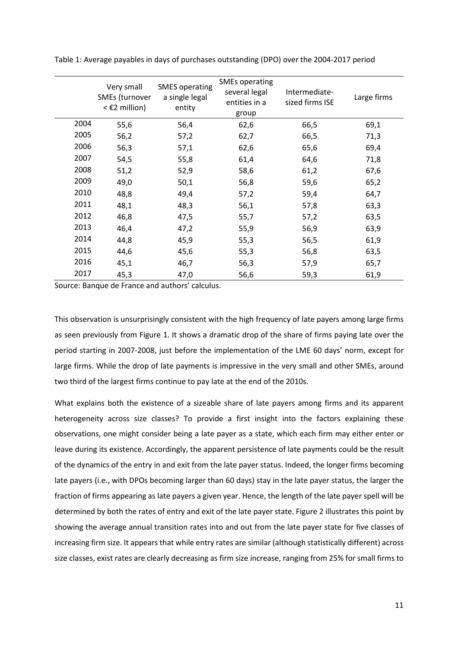|      | Very small<br>SMEs (turnover<br>$<$ £2 million) | <b>SMES operating</b><br>a single legal<br>entity | <b>SMEs operating</b><br>several legal<br>entities in a<br>group | Intermediate-<br>sized firms ISE | Large firms |
|------|-------------------------------------------------|---------------------------------------------------|------------------------------------------------------------------|----------------------------------|-------------|
| 2004 | 55,6                                            | 56,4                                              | 62,6                                                             | 66,5                             | 69,1        |
| 2005 | 56,2                                            | 57,2                                              | 62,7                                                             | 66,5                             | 71,3        |
| 2006 | 56,3                                            | 57,1                                              | 62,6                                                             | 65,6                             | 69,4        |
| 2007 | 54,5                                            | 55,8                                              | 61,4                                                             | 64,6                             | 71,8        |
| 2008 | 51,2                                            | 52,9                                              | 58,6                                                             | 61,2                             | 67,6        |
| 2009 | 49,0                                            | 50,1                                              | 56,8                                                             | 59,6                             | 65,2        |
| 2010 | 48,8                                            | 49,4                                              | 57,2                                                             | 59,4                             | 64,7        |
| 2011 | 48,1                                            | 48,3                                              | 56,1                                                             | 57,8                             | 63,3        |
| 2012 | 46,8                                            | 47,5                                              | 55,7                                                             | 57,2                             | 63,5        |
| 2013 | 46,4                                            | 47,2                                              | 55,9                                                             | 56,9                             | 63,9        |
| 2014 | 44,8                                            | 45,9                                              | 55,3                                                             | 56,5                             | 61,9        |
| 2015 | 44,6                                            | 45,6                                              | 55,3                                                             | 56,8                             | 63,5        |
| 2016 | 45,1                                            | 46,7                                              | 56,3                                                             | 57,9                             | 65,7        |
| 2017 | 45,3                                            | 47,0                                              | 56,6                                                             | 59,3                             | 61,9        |

Table 1: Average payables in days of purchases outstanding (DPO) over the 2004-2017 period

Source: Banque de France and authors' calculus.

This observation is unsurprisingly consistent with the high frequency of late payers among large firms as seen previously from Figure 1. It shows a dramatic drop of the share of firms paying late over the period starting in 2007-2008, just before the implementation of the LME 60 days' norm, except for large firms. While the drop of late payments is impressive in the very small and other SMEs, around two third of the largest firms continue to pay late at the end of the 2010s.

What explains both the existence of a sizeable share of late payers among firms and its apparent heterogeneity across size classes? To provide a first insight into the factors explaining these observations, one might consider being a late payer as a state, which each firm may either enter or leave during its existence. Accordingly, the apparent persistence of late payments could be the result of the dynamics of the entry in and exit from the late payer status. Indeed, the longer firms becoming late payers (i.e., with DPOs becoming larger than 60 days) stay in the late payer status, the larger the fraction of firms appearing as late payers a given year. Hence, the length of the late payer spell will be determined by both the rates of entry and exit of the late payer state. Figure 2 illustrates this point by showing the average annual transition rates into and out from the late payer state for five classes of increasing firm size. It appears that while entry rates are similar (although statistically different) across size classes, exist rates are clearly decreasing as firm size increase, ranging from 25% for small firms to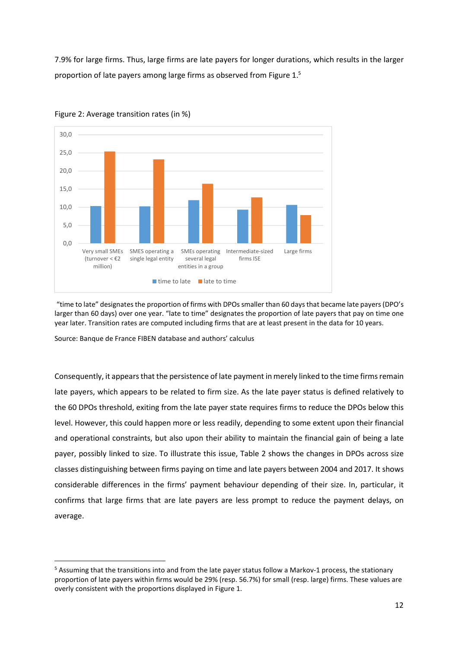7.9% for large firms. Thus, large firms are late payers for longer durations, which results in the larger proportion of late payers among large firms as observed from Figure 1.<sup>5</sup>



Figure 2: Average transition rates (in %)

"time to late" designates the proportion of firms with DPOs smaller than 60 days that became late payers (DPO's larger than 60 days) over one year. "late to time" designates the proportion of late payers that pay on time one year later. Transition rates are computed including firms that are at least present in the data for 10 years.

Source: Banque de France FIBEN database and authors' calculus

 $\overline{a}$ 

Consequently, it appears that the persistence of late payment in merely linked to the time firms remain late payers, which appears to be related to firm size. As the late payer status is defined relatively to the 60 DPOs threshold, exiting from the late payer state requires firms to reduce the DPOs below this level. However, this could happen more or less readily, depending to some extent upon their financial and operational constraints, but also upon their ability to maintain the financial gain of being a late payer, possibly linked to size. To illustrate this issue, Table 2 shows the changes in DPOs across size classes distinguishing between firms paying on time and late payers between 2004 and 2017. It shows considerable differences in the firms' payment behaviour depending of their size. In, particular, it confirms that large firms that are late payers are less prompt to reduce the payment delays, on average.

<sup>&</sup>lt;sup>5</sup> Assuming that the transitions into and from the late payer status follow a Markov-1 process, the stationary proportion of late payers within firms would be 29% (resp. 56.7%) for small (resp. large) firms. These values are overly consistent with the proportions displayed in Figure 1.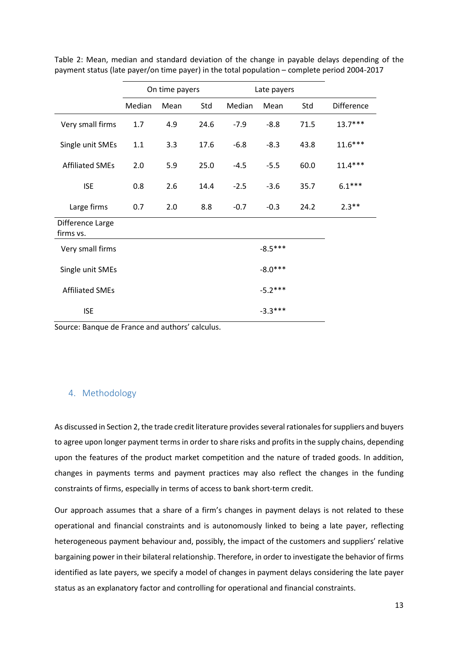|                               | On time payers |      |      | Late payers |           |      |            |
|-------------------------------|----------------|------|------|-------------|-----------|------|------------|
|                               | Median         | Mean | Std  | Median      | Mean      | Std  | Difference |
| Very small firms              | 1.7            | 4.9  | 24.6 | $-7.9$      | $-8.8$    | 71.5 | $13.7***$  |
| Single unit SMEs              | 1.1            | 3.3  | 17.6 | $-6.8$      | $-8.3$    | 43.8 | $11.6***$  |
| <b>Affiliated SMEs</b>        | 2.0            | 5.9  | 25.0 | $-4.5$      | $-5.5$    | 60.0 | $11.4***$  |
| <b>ISE</b>                    | 0.8            | 2.6  | 14.4 | $-2.5$      | $-3.6$    | 35.7 | $6.1***$   |
| Large firms                   | 0.7            | 2.0  | 8.8  | $-0.7$      | $-0.3$    | 24.2 | $2.3***$   |
| Difference Large<br>firms vs. |                |      |      |             |           |      |            |
| Very small firms              |                |      |      |             | $-8.5***$ |      |            |
| Single unit SMEs              |                |      |      |             | $-8.0***$ |      |            |
| <b>Affiliated SMEs</b>        |                |      |      |             | $-5.2***$ |      |            |
| <b>ISE</b>                    |                |      |      |             | $-3.3***$ |      |            |

Table 2: Mean, median and standard deviation of the change in payable delays depending of the payment status (late payer/on time payer) in the total population – complete period 2004-2017

Source: Banque de France and authors' calculus.

## 4. Methodology

As discussed in Section 2, the trade credit literature provides several rationales for suppliers and buyers to agree upon longer payment terms in order to share risks and profits in the supply chains, depending upon the features of the product market competition and the nature of traded goods. In addition, changes in payments terms and payment practices may also reflect the changes in the funding constraints of firms, especially in terms of access to bank short-term credit.

Our approach assumes that a share of a firm's changes in payment delays is not related to these operational and financial constraints and is autonomously linked to being a late payer, reflecting heterogeneous payment behaviour and, possibly, the impact of the customers and suppliers' relative bargaining power in their bilateral relationship. Therefore, in order to investigate the behavior of firms identified as late payers, we specify a model of changes in payment delays considering the late payer status as an explanatory factor and controlling for operational and financial constraints.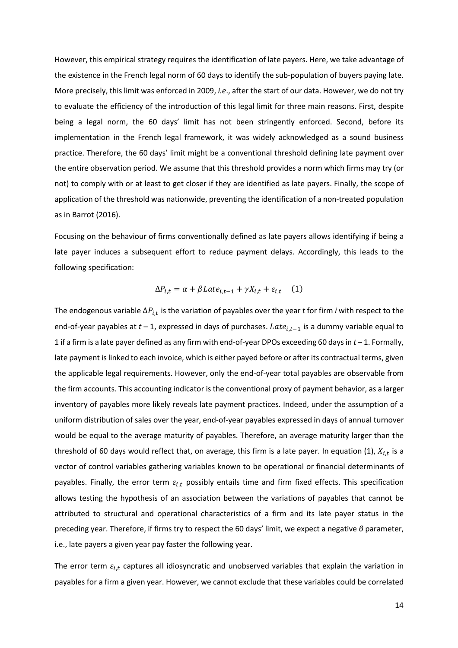However, this empirical strategy requires the identification of late payers. Here, we take advantage of the existence in the French legal norm of 60 days to identify the sub-population of buyers paying late. More precisely, this limit was enforced in 2009, *i.e*., after the start of our data. However, we do not try to evaluate the efficiency of the introduction of this legal limit for three main reasons. First, despite being a legal norm, the 60 days' limit has not been stringently enforced. Second, before its implementation in the French legal framework, it was widely acknowledged as a sound business practice. Therefore, the 60 days' limit might be a conventional threshold defining late payment over the entire observation period. We assume that this threshold provides a norm which firms may try (or not) to comply with or at least to get closer if they are identified as late payers. Finally, the scope of application of the threshold was nationwide, preventing the identification of a non-treated population as in Barrot (2016).

Focusing on the behaviour of firms conventionally defined as late payers allows identifying if being a late payer induces a subsequent effort to reduce payment delays. Accordingly, this leads to the following specification:

$$
\Delta P_{i,t} = \alpha + \beta Late_{i,t-1} + \gamma X_{i,t} + \varepsilon_{i,t} \quad (1)
$$

The endogenous variable  $\Delta P_{i,t}$  is the variation of payables over the year *t* for firm *i* with respect to the end-of-year payables at  $t-1$ , expressed in days of purchases.  $\textit{Late}_{i,t-1}$  is a dummy variable equal to 1 if a firm is a late payer defined as any firm with end-of-year DPOs exceeding 60 days in *t* – 1. Formally, late payment is linked to each invoice, which is either payed before or after its contractual terms, given the applicable legal requirements. However, only the end-of-year total payables are observable from the firm accounts. This accounting indicator is the conventional proxy of payment behavior, as a larger inventory of payables more likely reveals late payment practices. Indeed, under the assumption of a uniform distribution of sales over the year, end-of-year payables expressed in days of annual turnover would be equal to the average maturity of payables. Therefore, an average maturity larger than the threshold of 60 days would reflect that, on average, this firm is a late payer. In equation (1),  $X_{i,t}$  is a vector of control variables gathering variables known to be operational or financial determinants of payables. Finally, the error term  $\varepsilon_{i,t}$  possibly entails time and firm fixed effects. This specification allows testing the hypothesis of an association between the variations of payables that cannot be attributed to structural and operational characteristics of a firm and its late payer status in the preceding year. Therefore, if firms try to respect the 60 days' limit, we expect a negative *β* parameter, i.e., late payers a given year pay faster the following year.

The error term  $\varepsilon_{i,t}$  captures all idiosyncratic and unobserved variables that explain the variation in payables for a firm a given year. However, we cannot exclude that these variables could be correlated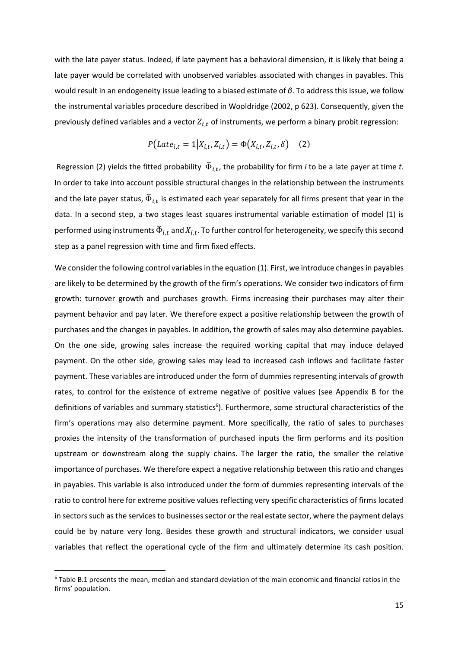with the late payer status. Indeed, if late payment has a behavioral dimension, it is likely that being a late payer would be correlated with unobserved variables associated with changes in payables. This would result in an endogeneity issue leading to a biased estimate of *β*. To address this issue, we follow the instrumental variables procedure described in Wooldridge (2002, p 623). Consequently, given the previously defined variables and a vector  $Z_{i,t}$  of instruments, we perform a binary probit regression:

$$
P(Late_{i,t} = 1 | X_{i,t}, Z_{i,t}) = \Phi(X_{i,t}, Z_{i,t}, \delta) \quad (2)
$$

Regression (2) yields the fitted probability  $\widehat{\Phi}_{i,t}$ , the probability for firm *i* to be a late payer at time *t*. In order to take into account possible structural changes in the relationship between the instruments and the late payer status,  $\widehat{\Phi}_{i.t}$  is estimated each year separately for all firms present that year in the data. In a second step, a two stages least squares instrumental variable estimation of model (1) is performed using instruments  $\widehat{\Phi}_{i,t}$  and  $X_{i,t}$ . To further control for heterogeneity, we specify this second step as a panel regression with time and firm fixed effects.

We consider the following control variables in the equation (1). First, we introduce changes in payables are likely to be determined by the growth of the firm's operations. We consider two indicators of firm growth: turnover growth and purchases growth. Firms increasing their purchases may alter their payment behavior and pay later. We therefore expect a positive relationship between the growth of purchases and the changes in payables. In addition, the growth of sales may also determine payables. On the one side, growing sales increase the required working capital that may induce delayed payment. On the other side, growing sales may lead to increased cash inflows and facilitate faster payment. These variables are introduced under the form of dummies representing intervals of growth rates, to control for the existence of extreme negative of positive values (see Appendix B for the definitions of variables and summary statistics<sup>6</sup>). Furthermore, some structural characteristics of the firm's operations may also determine payment. More specifically, the ratio of sales to purchases proxies the intensity of the transformation of purchased inputs the firm performs and its position upstream or downstream along the supply chains. The larger the ratio, the smaller the relative importance of purchases. We therefore expect a negative relationship between this ratio and changes in payables. This variable is also introduced under the form of dummies representing intervals of the ratio to control here for extreme positive values reflecting very specific characteristics of firms located in sectors such as the services to businesses sector or the real estate sector, where the payment delays could be by nature very long. Besides these growth and structural indicators, we consider usual variables that reflect the operational cycle of the firm and ultimately determine its cash position.

l

<sup>&</sup>lt;sup>6</sup> Table B.1 presents the mean, median and standard deviation of the main economic and financial ratios in the firms' population.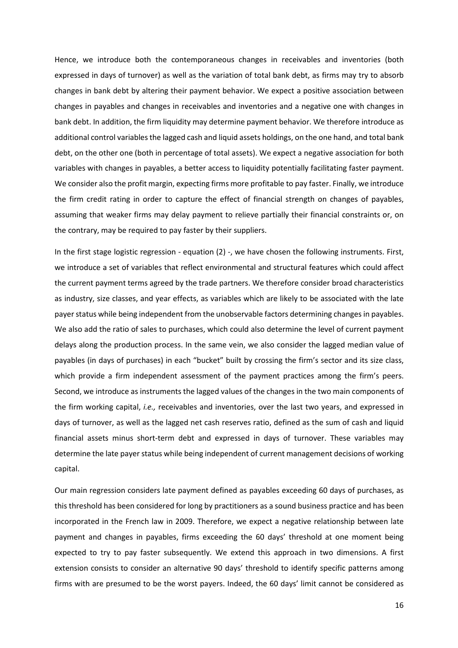Hence, we introduce both the contemporaneous changes in receivables and inventories (both expressed in days of turnover) as well as the variation of total bank debt, as firms may try to absorb changes in bank debt by altering their payment behavior. We expect a positive association between changes in payables and changes in receivables and inventories and a negative one with changes in bank debt. In addition, the firm liquidity may determine payment behavior. We therefore introduce as additional control variables the lagged cash and liquid assets holdings, on the one hand, and total bank debt, on the other one (both in percentage of total assets). We expect a negative association for both variables with changes in payables, a better access to liquidity potentially facilitating faster payment. We consider also the profit margin, expecting firms more profitable to pay faster. Finally, we introduce the firm credit rating in order to capture the effect of financial strength on changes of payables, assuming that weaker firms may delay payment to relieve partially their financial constraints or, on the contrary, may be required to pay faster by their suppliers.

In the first stage logistic regression - equation (2) -, we have chosen the following instruments. First, we introduce a set of variables that reflect environmental and structural features which could affect the current payment terms agreed by the trade partners. We therefore consider broad characteristics as industry, size classes, and year effects, as variables which are likely to be associated with the late payer status while being independent from the unobservable factors determining changes in payables. We also add the ratio of sales to purchases, which could also determine the level of current payment delays along the production process. In the same vein, we also consider the lagged median value of payables (in days of purchases) in each "bucket" built by crossing the firm's sector and its size class, which provide a firm independent assessment of the payment practices among the firm's peers. Second, we introduce as instruments the lagged values of the changes in the two main components of the firm working capital, *i.e.,* receivables and inventories, over the last two years, and expressed in days of turnover, as well as the lagged net cash reserves ratio, defined as the sum of cash and liquid financial assets minus short-term debt and expressed in days of turnover. These variables may determine the late payer status while being independent of current management decisions of working capital.

Our main regression considers late payment defined as payables exceeding 60 days of purchases, as this threshold has been considered for long by practitioners as a sound business practice and has been incorporated in the French law in 2009. Therefore, we expect a negative relationship between late payment and changes in payables, firms exceeding the 60 days' threshold at one moment being expected to try to pay faster subsequently. We extend this approach in two dimensions. A first extension consists to consider an alternative 90 days' threshold to identify specific patterns among firms with are presumed to be the worst payers. Indeed, the 60 days' limit cannot be considered as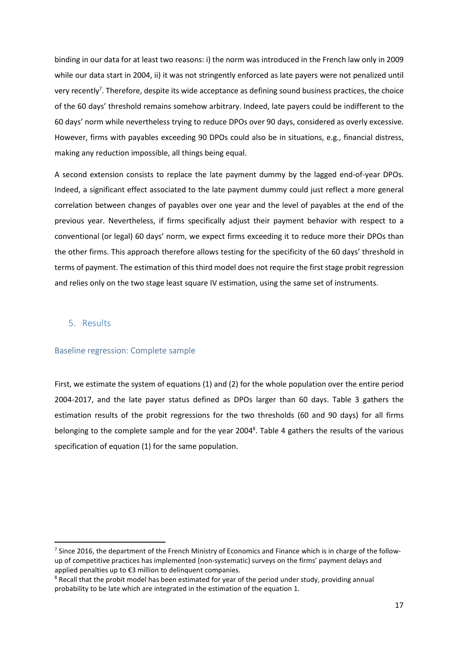binding in our data for at least two reasons: i) the norm was introduced in the French law only in 2009 while our data start in 2004, ii) it was not stringently enforced as late payers were not penalized until very recently<sup>7</sup>. Therefore, despite its wide acceptance as defining sound business practices, the choice of the 60 days' threshold remains somehow arbitrary. Indeed, late payers could be indifferent to the 60 days' norm while nevertheless trying to reduce DPOs over 90 days, considered as overly excessive. However, firms with payables exceeding 90 DPOs could also be in situations, e.g., financial distress, making any reduction impossible, all things being equal.

A second extension consists to replace the late payment dummy by the lagged end-of-year DPOs. Indeed, a significant effect associated to the late payment dummy could just reflect a more general correlation between changes of payables over one year and the level of payables at the end of the previous year. Nevertheless, if firms specifically adjust their payment behavior with respect to a conventional (or legal) 60 days' norm, we expect firms exceeding it to reduce more their DPOs than the other firms. This approach therefore allows testing for the specificity of the 60 days' threshold in terms of payment. The estimation of this third model does not require the first stage probit regression and relies only on the two stage least square IV estimation, using the same set of instruments.

## 5. Results

l

## Baseline regression: Complete sample

First, we estimate the system of equations (1) and (2) for the whole population over the entire period 2004-2017, and the late payer status defined as DPOs larger than 60 days. Table 3 gathers the estimation results of the probit regressions for the two thresholds (60 and 90 days) for all firms belonging to the complete sample and for the year 2004<sup>8</sup>. Table 4 gathers the results of the various specification of equation (1) for the same population.

<sup>&</sup>lt;sup>7</sup> Since 2016, the department of the French Ministry of Economics and Finance which is in charge of the followup of competitive practices has implemented (non-systematic) surveys on the firms' payment delays and applied penalties up to €3 million to delinquent companies.

<sup>&</sup>lt;sup>8</sup> Recall that the probit model has been estimated for year of the period under study, providing annual probability to be late which are integrated in the estimation of the equation 1.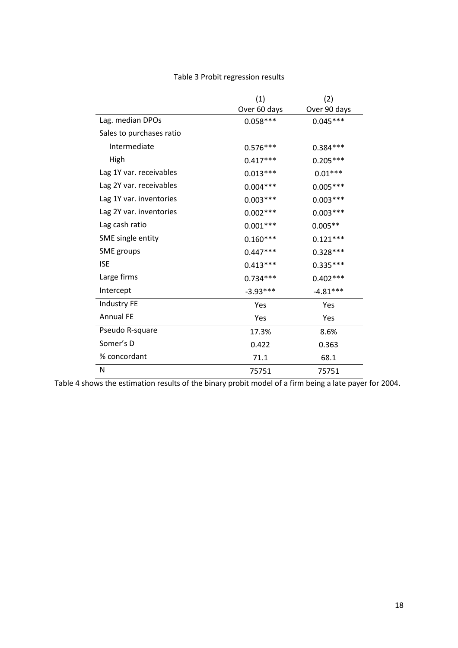|                          | (1)          | (2)          |
|--------------------------|--------------|--------------|
|                          | Over 60 days | Over 90 days |
| Lag. median DPOs         | $0.058***$   | $0.045***$   |
| Sales to purchases ratio |              |              |
| Intermediate             | $0.576***$   | $0.384***$   |
| High                     | $0.417***$   | $0.205***$   |
| Lag 1Y var. receivables  | $0.013***$   | $0.01***$    |
| Lag 2Y var. receivables  | $0.004***$   | $0.005***$   |
| Lag 1Y var. inventories  | $0.003***$   | $0.003***$   |
| Lag 2Y var. inventories  | $0.002***$   | $0.003***$   |
| Lag cash ratio           | $0.001***$   | $0.005**$    |
| SME single entity        | $0.160***$   | $0.121***$   |
| <b>SME</b> groups        | $0.447***$   | $0.328***$   |
| <b>ISE</b>               | $0.413***$   | $0.335***$   |
| Large firms              | $0.734***$   | $0.402***$   |
| Intercept                | $-3.93***$   | $-4.81***$   |
| Industry FE              | Yes          | Yes          |
| <b>Annual FE</b>         | Yes          | Yes          |
| Pseudo R-square          | 17.3%        | 8.6%         |
| Somer's D                | 0.422        | 0.363        |
| % concordant             | 71.1         | 68.1         |
| N                        | 75751        | 75751        |

Table 3 Probit regression results

Table 4 shows the estimation results of the binary probit model of a firm being a late payer for 2004.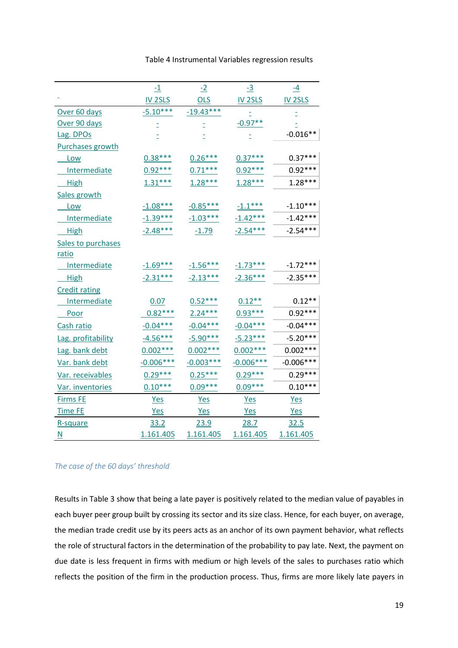|                         | $-1$               | $-2$        | $-3$               | $\overline{-4}$    |
|-------------------------|--------------------|-------------|--------------------|--------------------|
|                         | IV <sub>2SLS</sub> | <b>OLS</b>  | IV <sub>2SLS</sub> | IV <sub>2SLS</sub> |
| Over 60 days            | $-5.10***$         | $-19.43***$ |                    |                    |
| Over 90 days            |                    |             | $-0.97**$          |                    |
| Lag. DPOs               |                    |             |                    | $-0.016**$         |
| <b>Purchases growth</b> |                    |             |                    |                    |
| <u>Low</u>              | $0.38***$          | $0.26***$   | $0.37***$          | $0.37***$          |
| <b>Intermediate</b>     | $0.92***$          | $0.71***$   | $0.92***$          | $0.92***$          |
| <b>High</b>             | $1.31***$          | $1.28***$   | $1.28***$          | $1.28***$          |
| Sales growth            |                    |             |                    |                    |
| <u>Low</u>              | $-1.08***$         | $-0.85***$  | $-1.1***$          | $-1.10***$         |
| Intermediate            | $-1.39***$         | $-1.03***$  | $-1.42***$         | $-1.42***$         |
| <b>High</b>             | $-2.48***$         | $-1.79$     | $-2.54***$         | $-2.54***$         |
| Sales to purchases      |                    |             |                    |                    |
| ratio                   |                    |             |                    |                    |
| <b>Intermediate</b>     | $-1.69***$         | $-1.56***$  | $-1.73***$         | $-1.72***$         |
| <b>High</b>             | $-2.31***$         | $-2.13***$  | $-2.36***$         | $-2.35***$         |
| <b>Credit rating</b>    |                    |             |                    |                    |
| Intermediate            | 0.07               | $0.52***$   | $0.12**$           | $0.12**$           |
| <b>Poor</b>             | $0.82***$          | $2.24***$   | $0.93***$          | $0.92***$          |
| Cash ratio              | $-0.04***$         | $-0.04***$  | $-0.04***$         | $-0.04***$         |
| Lag. profitability      | $-4.56***$         | $-5.90***$  | $-5.23***$         | $-5.20***$         |
| Lag. bank debt          | $0.002***$         | $0.002***$  | $0.002***$         | $0.002***$         |
| Var. bank debt          | $-0.006***$        | $-0.003***$ | $-0.006***$        | $-0.006***$        |
| Var. receivables        | $0.29***$          | $0.25***$   | $0.29***$          | $0.29***$          |
| Var. inventories        | $0.10***$          | $0.09***$   | $0.09***$          | $0.10***$          |
| <b>Firms FE</b>         | <b>Yes</b>         | <b>Yes</b>  | <b>Yes</b>         | <b>Yes</b>         |
| <b>Time FE</b>          | <b>Yes</b>         | <b>Yes</b>  | Yes                | Yes                |
| R-square                | 33.2               | 23.9        | 28.7               | 32.5               |
| $\overline{\mathsf{N}}$ | 1.161.405          | 1.161.405   | 1.161.405          | 1.161.405          |

## Table 4 Instrumental Variables regression results

#### *The case of the 60 days' threshold*

Results in Table 3 show that being a late payer is positively related to the median value of payables in each buyer peer group built by crossing its sector and its size class. Hence, for each buyer, on average, the median trade credit use by its peers acts as an anchor of its own payment behavior, what reflects the role of structural factors in the determination of the probability to pay late. Next, the payment on due date is less frequent in firms with medium or high levels of the sales to purchases ratio which reflects the position of the firm in the production process. Thus, firms are more likely late payers in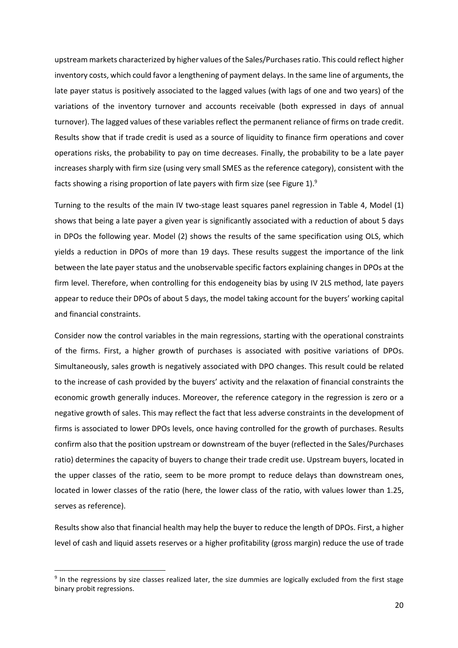upstream markets characterized by higher values of the Sales/Purchases ratio. This could reflect higher inventory costs, which could favor a lengthening of payment delays. In the same line of arguments, the late payer status is positively associated to the lagged values (with lags of one and two years) of the variations of the inventory turnover and accounts receivable (both expressed in days of annual turnover). The lagged values of these variables reflect the permanent reliance of firms on trade credit. Results show that if trade credit is used as a source of liquidity to finance firm operations and cover operations risks, the probability to pay on time decreases. Finally, the probability to be a late payer increases sharply with firm size (using very small SMES as the reference category), consistent with the facts showing a rising proportion of late payers with firm size (see Figure 1).<sup>9</sup>

Turning to the results of the main IV two-stage least squares panel regression in Table 4, Model (1) shows that being a late payer a given year is significantly associated with a reduction of about 5 days in DPOs the following year. Model (2) shows the results of the same specification using OLS, which yields a reduction in DPOs of more than 19 days. These results suggest the importance of the link between the late payer status and the unobservable specific factors explaining changes in DPOs at the firm level. Therefore, when controlling for this endogeneity bias by using IV 2LS method, late payers appear to reduce their DPOs of about 5 days, the model taking account for the buyers' working capital and financial constraints.

Consider now the control variables in the main regressions, starting with the operational constraints of the firms. First, a higher growth of purchases is associated with positive variations of DPOs. Simultaneously, sales growth is negatively associated with DPO changes. This result could be related to the increase of cash provided by the buyers' activity and the relaxation of financial constraints the economic growth generally induces. Moreover, the reference category in the regression is zero or a negative growth of sales. This may reflect the fact that less adverse constraints in the development of firms is associated to lower DPOs levels, once having controlled for the growth of purchases. Results confirm also that the position upstream or downstream of the buyer (reflected in the Sales/Purchases ratio) determines the capacity of buyers to change their trade credit use. Upstream buyers, located in the upper classes of the ratio, seem to be more prompt to reduce delays than downstream ones, located in lower classes of the ratio (here, the lower class of the ratio, with values lower than 1.25, serves as reference).

Results show also that financial health may help the buyer to reduce the length of DPOs. First, a higher level of cash and liquid assets reserves or a higher profitability (gross margin) reduce the use of trade

l

<sup>&</sup>lt;sup>9</sup> In the regressions by size classes realized later, the size dummies are logically excluded from the first stage binary probit regressions.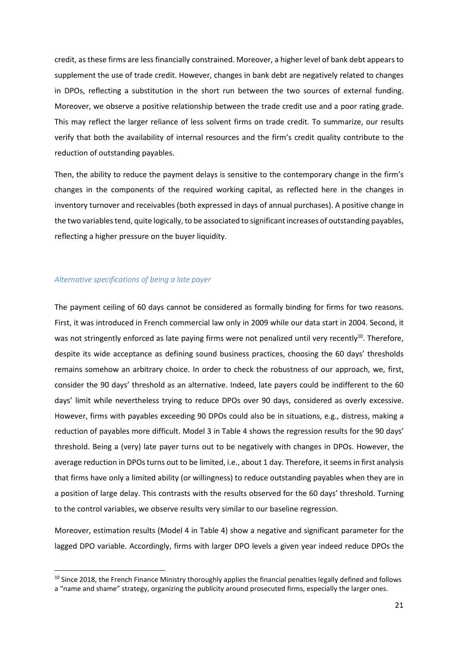credit, as these firms are less financially constrained. Moreover, a higher level of bank debt appears to supplement the use of trade credit. However, changes in bank debt are negatively related to changes in DPOs, reflecting a substitution in the short run between the two sources of external funding. Moreover, we observe a positive relationship between the trade credit use and a poor rating grade. This may reflect the larger reliance of less solvent firms on trade credit. To summarize, our results verify that both the availability of internal resources and the firm's credit quality contribute to the reduction of outstanding payables.

Then, the ability to reduce the payment delays is sensitive to the contemporary change in the firm's changes in the components of the required working capital, as reflected here in the changes in inventory turnover and receivables (both expressed in days of annual purchases). A positive change in the two variables tend, quite logically, to be associated to significant increases of outstanding payables, reflecting a higher pressure on the buyer liquidity.

#### *Alternative specifications of being a late payer*

l

The payment ceiling of 60 days cannot be considered as formally binding for firms for two reasons. First, it was introduced in French commercial law only in 2009 while our data start in 2004. Second, it was not stringently enforced as late paying firms were not penalized until very recently<sup>10</sup>. Therefore, despite its wide acceptance as defining sound business practices, choosing the 60 days' thresholds remains somehow an arbitrary choice. In order to check the robustness of our approach, we, first, consider the 90 days' threshold as an alternative. Indeed, late payers could be indifferent to the 60 days' limit while nevertheless trying to reduce DPOs over 90 days, considered as overly excessive. However, firms with payables exceeding 90 DPOs could also be in situations, e.g., distress, making a reduction of payables more difficult. Model 3 in Table 4 shows the regression results for the 90 days' threshold. Being a (very) late payer turns out to be negatively with changes in DPOs. However, the average reduction in DPOs turns out to be limited, i.e., about 1 day. Therefore, it seems in first analysis that firms have only a limited ability (or willingness) to reduce outstanding payables when they are in a position of large delay. This contrasts with the results observed for the 60 days' threshold. Turning to the control variables, we observe results very similar to our baseline regression.

Moreover, estimation results (Model 4 in Table 4) show a negative and significant parameter for the lagged DPO variable. Accordingly, firms with larger DPO levels a given year indeed reduce DPOs the

 $10$  Since 2018, the French Finance Ministry thoroughly applies the financial penalties legally defined and follows

a "name and shame" strategy, organizing the publicity around prosecuted firms, especially the larger ones.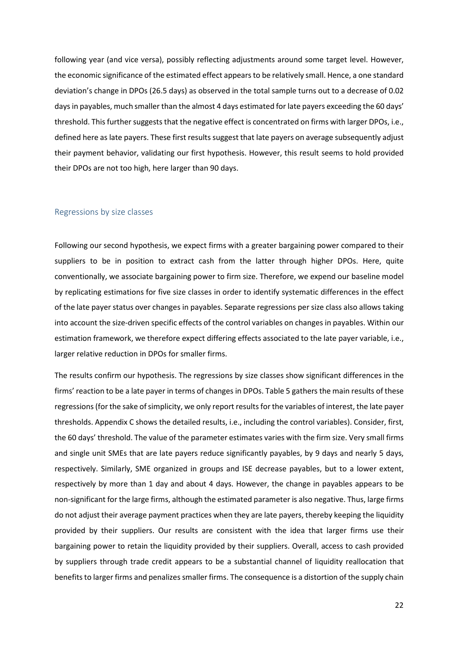following year (and vice versa), possibly reflecting adjustments around some target level. However, the economic significance of the estimated effect appears to be relatively small. Hence, a one standard deviation's change in DPOs (26.5 days) as observed in the total sample turns out to a decrease of 0.02 days in payables, much smaller than the almost 4 days estimated for late payers exceeding the 60 days' threshold. This further suggests that the negative effect is concentrated on firms with larger DPOs, i.e., defined here as late payers. These first results suggest that late payers on average subsequently adjust their payment behavior, validating our first hypothesis. However, this result seems to hold provided their DPOs are not too high, here larger than 90 days.

#### Regressions by size classes

Following our second hypothesis, we expect firms with a greater bargaining power compared to their suppliers to be in position to extract cash from the latter through higher DPOs. Here, quite conventionally, we associate bargaining power to firm size. Therefore, we expend our baseline model by replicating estimations for five size classes in order to identify systematic differences in the effect of the late payer status over changes in payables. Separate regressions per size class also allows taking into account the size-driven specific effects of the control variables on changes in payables. Within our estimation framework, we therefore expect differing effects associated to the late payer variable, i.e., larger relative reduction in DPOs for smaller firms.

The results confirm our hypothesis. The regressions by size classes show significant differences in the firms' reaction to be a late payer in terms of changes in DPOs. Table 5 gathers the main results of these regressions (for the sake of simplicity, we only report results for the variables of interest, the late payer thresholds. Appendix C shows the detailed results, i.e., including the control variables). Consider, first, the 60 days' threshold. The value of the parameter estimates varies with the firm size. Very small firms and single unit SMEs that are late payers reduce significantly payables, by 9 days and nearly 5 days, respectively. Similarly, SME organized in groups and ISE decrease payables, but to a lower extent, respectively by more than 1 day and about 4 days. However, the change in payables appears to be non-significant for the large firms, although the estimated parameter is also negative. Thus, large firms do not adjust their average payment practices when they are late payers, thereby keeping the liquidity provided by their suppliers. Our results are consistent with the idea that larger firms use their bargaining power to retain the liquidity provided by their suppliers. Overall, access to cash provided by suppliers through trade credit appears to be a substantial channel of liquidity reallocation that benefits to larger firms and penalizes smaller firms. The consequence is a distortion of the supply chain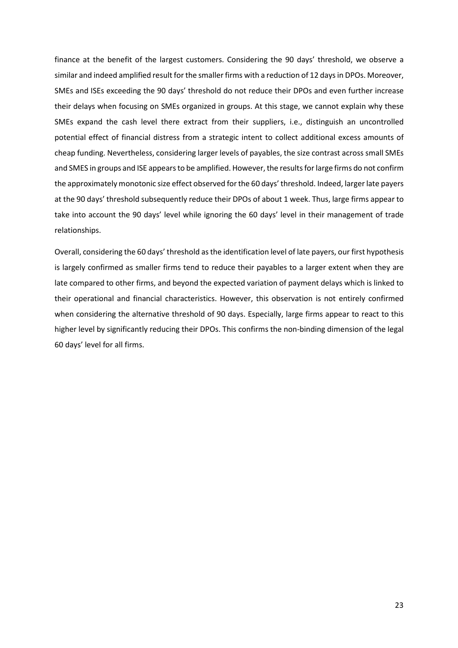finance at the benefit of the largest customers. Considering the 90 days' threshold, we observe a similar and indeed amplified result for the smaller firms with a reduction of 12 days in DPOs. Moreover, SMEs and ISEs exceeding the 90 days' threshold do not reduce their DPOs and even further increase their delays when focusing on SMEs organized in groups. At this stage, we cannot explain why these SMEs expand the cash level there extract from their suppliers, i.e., distinguish an uncontrolled potential effect of financial distress from a strategic intent to collect additional excess amounts of cheap funding. Nevertheless, considering larger levels of payables, the size contrast across small SMEs and SMES in groups and ISE appears to be amplified. However, the results for large firms do not confirm the approximately monotonic size effect observed for the 60 days' threshold. Indeed, larger late payers at the 90 days' threshold subsequently reduce their DPOs of about 1 week. Thus, large firms appear to take into account the 90 days' level while ignoring the 60 days' level in their management of trade relationships.

Overall, considering the 60 days' threshold as the identification level of late payers, our first hypothesis is largely confirmed as smaller firms tend to reduce their payables to a larger extent when they are late compared to other firms, and beyond the expected variation of payment delays which is linked to their operational and financial characteristics. However, this observation is not entirely confirmed when considering the alternative threshold of 90 days. Especially, large firms appear to react to this higher level by significantly reducing their DPOs. This confirms the non-binding dimension of the legal 60 days' level for all firms.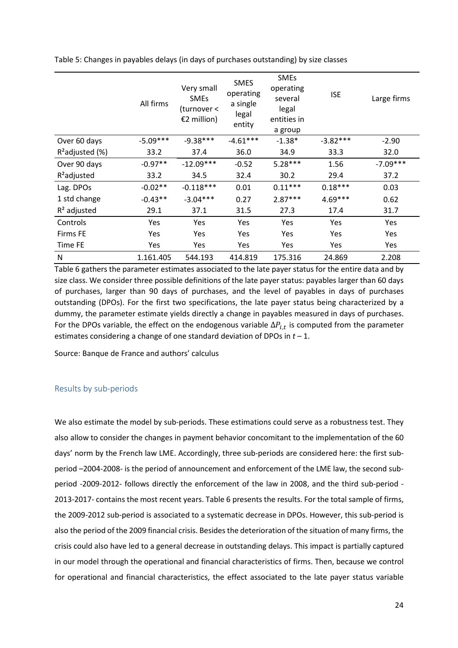|                    | All firms  | Very small<br><b>SMEs</b><br>(turnover <<br>€2 million) | <b>SMES</b><br>operating<br>a single<br>legal<br>entity | <b>SMEs</b><br>operating<br>several<br>legal<br>entities in<br>a group | <b>ISE</b> | Large firms |
|--------------------|------------|---------------------------------------------------------|---------------------------------------------------------|------------------------------------------------------------------------|------------|-------------|
| Over 60 days       | $-5.09***$ | $-9.38***$                                              | $-4.61***$                                              | $-1.38*$                                                               | $-3.82***$ | $-2.90$     |
| $R^2$ adjusted (%) | 33.2       | 37.4                                                    | 36.0                                                    | 34.9                                                                   | 33.3       | 32.0        |
| Over 90 days       | $-0.97**$  | $-12.09***$                                             | $-0.52$                                                 | $5.28***$                                                              | 1.56       | $-7.09***$  |
| $R^2$ adjusted     | 33.2       | 34.5                                                    | 32.4                                                    | 30.2                                                                   | 29.4       | 37.2        |
| Lag. DPOs          | $-0.02**$  | $-0.118***$                                             | 0.01                                                    | $0.11***$                                                              | $0.18***$  | 0.03        |
| 1 std change       | $-0.43**$  | $-3.04***$                                              | 0.27                                                    | $2.87***$                                                              | $4.69***$  | 0.62        |
| $R2$ adjusted      | 29.1       | 37.1                                                    | 31.5                                                    | 27.3                                                                   | 17.4       | 31.7        |
| Controls           | Yes        | Yes                                                     | Yes                                                     | Yes                                                                    | Yes        | Yes         |
| <b>Firms FE</b>    | Yes        | Yes                                                     | Yes                                                     | Yes                                                                    | Yes        | Yes         |
| Time FE            | <b>Yes</b> | Yes                                                     | Yes                                                     | Yes                                                                    | Yes        | Yes         |
| N                  | 1.161.405  | 544.193                                                 | 414.819                                                 | 175.316                                                                | 24.869     | 2.208       |

Table 5: Changes in payables delays (in days of purchases outstanding) by size classes

Table 6 gathers the parameter estimates associated to the late payer status for the entire data and by size class. We consider three possible definitions of the late payer status: payables larger than 60 days of purchases, larger than 90 days of purchases, and the level of payables in days of purchases outstanding (DPOs). For the first two specifications, the late payer status being characterized by a dummy, the parameter estimate yields directly a change in payables measured in days of purchases. For the DPOs variable, the effect on the endogenous variable  $\Delta P_{i,t}$  is computed from the parameter estimates considering a change of one standard deviation of DPOs in *t* – 1.

Source: Banque de France and authors' calculus

## Results by sub-periods

We also estimate the model by sub-periods. These estimations could serve as a robustness test. They also allow to consider the changes in payment behavior concomitant to the implementation of the 60 days' norm by the French law LME. Accordingly, three sub-periods are considered here: the first subperiod –2004-2008- is the period of announcement and enforcement of the LME law, the second subperiod -2009-2012- follows directly the enforcement of the law in 2008, and the third sub-period - 2013-2017- contains the most recent years. Table 6 presents the results. For the total sample of firms, the 2009-2012 sub-period is associated to a systematic decrease in DPOs. However, this sub-period is also the period of the 2009 financial crisis. Besides the deterioration of the situation of many firms, the crisis could also have led to a general decrease in outstanding delays. This impact is partially captured in our model through the operational and financial characteristics of firms. Then, because we control for operational and financial characteristics, the effect associated to the late payer status variable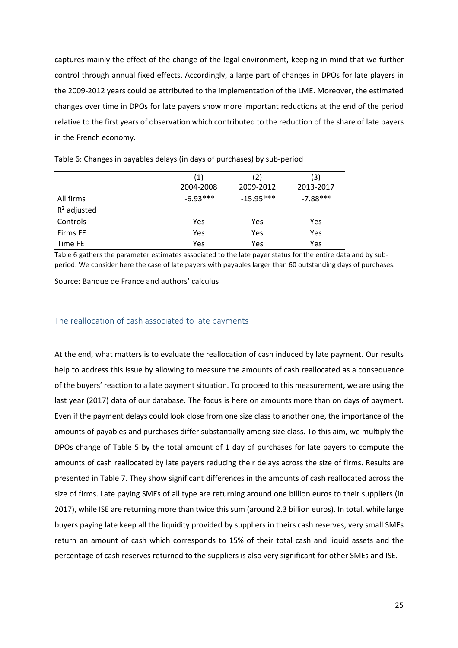captures mainly the effect of the change of the legal environment, keeping in mind that we further control through annual fixed effects. Accordingly, a large part of changes in DPOs for late players in the 2009-2012 years could be attributed to the implementation of the LME. Moreover, the estimated changes over time in DPOs for late payers show more important reductions at the end of the period relative to the first years of observation which contributed to the reduction of the share of late payers in the French economy.

|               | (1)        | (2)         | (3)        |
|---------------|------------|-------------|------------|
|               | 2004-2008  | 2009-2012   | 2013-2017  |
| All firms     | $-6.93***$ | $-15.95***$ | $-7.88***$ |
| $R2$ adjusted |            |             |            |
| Controls      | <b>Yes</b> | Yes         | Yes        |
| Firms FE      | <b>Yes</b> | Yes         | Yes        |
| Time FE       | Yes        | Yes         | Yes        |

Table 6: Changes in payables delays (in days of purchases) by sub-period

Table 6 gathers the parameter estimates associated to the late payer status for the entire data and by subperiod. We consider here the case of late payers with payables larger than 60 outstanding days of purchases.

Source: Banque de France and authors' calculus

#### The reallocation of cash associated to late payments

At the end, what matters is to evaluate the reallocation of cash induced by late payment. Our results help to address this issue by allowing to measure the amounts of cash reallocated as a consequence of the buyers' reaction to a late payment situation. To proceed to this measurement, we are using the last year (2017) data of our database. The focus is here on amounts more than on days of payment. Even if the payment delays could look close from one size class to another one, the importance of the amounts of payables and purchases differ substantially among size class. To this aim, we multiply the DPOs change of Table 5 by the total amount of 1 day of purchases for late payers to compute the amounts of cash reallocated by late payers reducing their delays across the size of firms. Results are presented in Table 7. They show significant differences in the amounts of cash reallocated across the size of firms. Late paying SMEs of all type are returning around one billion euros to their suppliers (in 2017), while ISE are returning more than twice this sum (around 2.3 billion euros). In total, while large buyers paying late keep all the liquidity provided by suppliers in theirs cash reserves, very small SMEs return an amount of cash which corresponds to 15% of their total cash and liquid assets and the percentage of cash reserves returned to the suppliers is also very significant for other SMEs and ISE.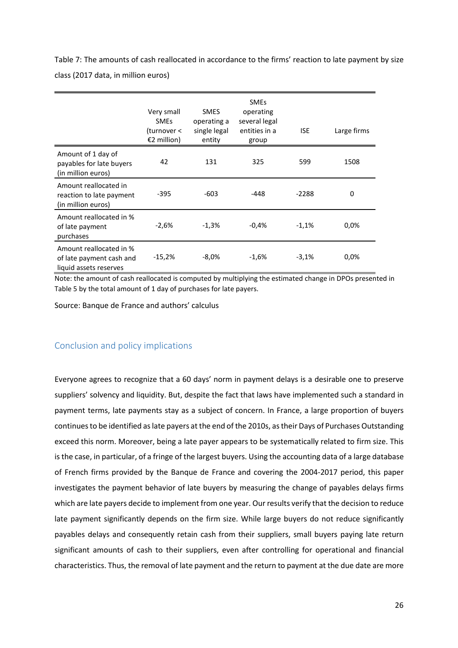Table 7: The amounts of cash reallocated in accordance to the firms' reaction to late payment by size class (2017 data, in million euros)

|                                                                               | Very small<br><b>SMEs</b><br>(turnover <<br>€2 million) | <b>SMES</b><br>operating a<br>single legal<br>entity | <b>SMEs</b><br>operating<br>several legal<br>entities in a<br>group | <b>ISE</b> | Large firms |
|-------------------------------------------------------------------------------|---------------------------------------------------------|------------------------------------------------------|---------------------------------------------------------------------|------------|-------------|
| Amount of 1 day of<br>payables for late buyers<br>(in million euros)          | 42                                                      | 131                                                  | 325                                                                 | 599        | 1508        |
| Amount reallocated in<br>reaction to late payment<br>(in million euros)       | -395                                                    | -603                                                 | -448                                                                | $-2288$    | 0           |
| Amount reallocated in %<br>of late payment<br>purchases                       | $-2,6%$                                                 | $-1,3%$                                              | $-0.4%$                                                             | $-1,1%$    | $0,0\%$     |
| Amount reallocated in %<br>of late payment cash and<br>liquid assets reserves | $-15,2%$                                                | -8,0%                                                | $-1,6%$                                                             | $-3,1%$    | $0,0\%$     |

Note: the amount of cash reallocated is computed by multiplying the estimated change in DPOs presented in Table 5 by the total amount of 1 day of purchases for late payers.

Source: Banque de France and authors' calculus

## Conclusion and policy implications

Everyone agrees to recognize that a 60 days' norm in payment delays is a desirable one to preserve suppliers' solvency and liquidity. But, despite the fact that laws have implemented such a standard in payment terms, late payments stay as a subject of concern. In France, a large proportion of buyers continues to be identified as late payers at the end of the 2010s, as their Days of Purchases Outstanding exceed this norm. Moreover, being a late payer appears to be systematically related to firm size. This is the case, in particular, of a fringe of the largest buyers. Using the accounting data of a large database of French firms provided by the Banque de France and covering the 2004-2017 period, this paper investigates the payment behavior of late buyers by measuring the change of payables delays firms which are late payers decide to implement from one year. Our results verify that the decision to reduce late payment significantly depends on the firm size. While large buyers do not reduce significantly payables delays and consequently retain cash from their suppliers, small buyers paying late return significant amounts of cash to their suppliers, even after controlling for operational and financial characteristics. Thus, the removal of late payment and the return to payment at the due date are more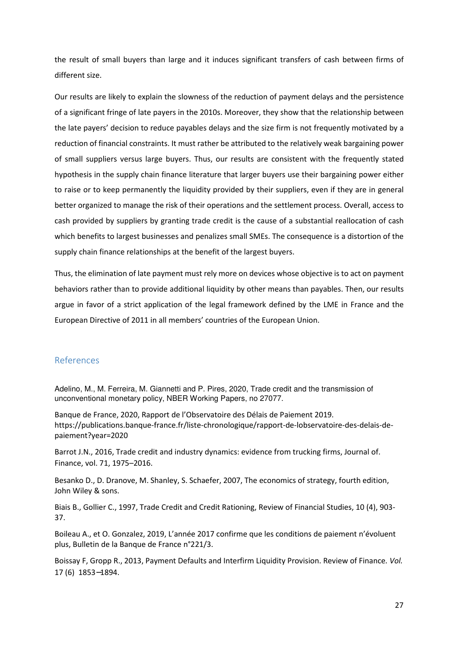the result of small buyers than large and it induces significant transfers of cash between firms of different size.

Our results are likely to explain the slowness of the reduction of payment delays and the persistence of a significant fringe of late payers in the 2010s. Moreover, they show that the relationship between the late payers' decision to reduce payables delays and the size firm is not frequently motivated by a reduction of financial constraints. It must rather be attributed to the relatively weak bargaining power of small suppliers versus large buyers. Thus, our results are consistent with the frequently stated hypothesis in the supply chain finance literature that larger buyers use their bargaining power either to raise or to keep permanently the liquidity provided by their suppliers, even if they are in general better organized to manage the risk of their operations and the settlement process. Overall, access to cash provided by suppliers by granting trade credit is the cause of a substantial reallocation of cash which benefits to largest businesses and penalizes small SMEs. The consequence is a distortion of the supply chain finance relationships at the benefit of the largest buyers.

Thus, the elimination of late payment must rely more on devices whose objective is to act on payment behaviors rather than to provide additional liquidity by other means than payables. Then, our results argue in favor of a strict application of the legal framework defined by the LME in France and the European Directive of 2011 in all members' countries of the European Union.

## References

Adelino, M., M. Ferreira, M. Giannetti and P. Pires, 2020, Trade credit and the transmission of unconventional monetary policy, NBER Working Papers, no 27077.

Banque de France, 2020, Rapport de l'Observatoire des Délais de Paiement 2019. https://publications.banque-france.fr/liste-chronologique/rapport-de-lobservatoire-des-delais-depaiement?year=2020

Barrot J.N., 2016, Trade credit and industry dynamics: evidence from trucking firms, Journal of. Finance, vol. 71, 1975–2016.

Besanko D., D. Dranove, M. Shanley, S. Schaefer, 2007, The economics of strategy, fourth edition, John Wiley & sons.

Biais B., Gollier C., 1997, Trade Credit and Credit Rationing, Review of Financial Studies, 10 (4), 903- 37.

Boileau A., et O. Gonzalez, 2019, L'année 2017 confirme que les conditions de paiement n'évoluent plus, Bulletin de la Banque de France n°221/3.

Boissay F, Gropp R., 2013, Payment Defaults and Interfirm Liquidity Provision. Review of Finance*. Vol.*  17 (6) 1853−1894.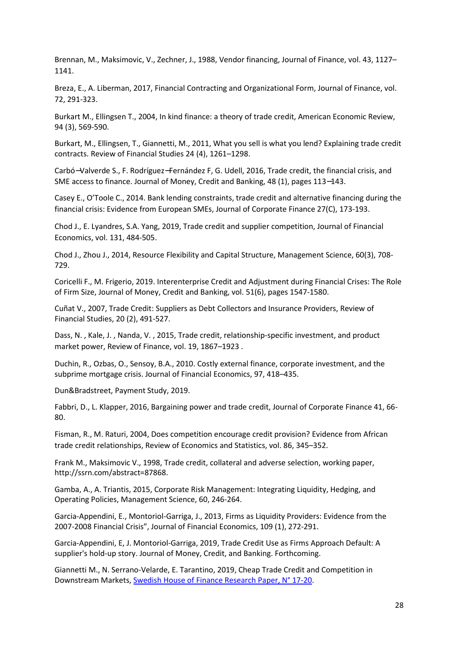Brennan, M., Maksimovic, V., Zechner, J., 1988, Vendor financing, Journal of Finance, vol. 43, 1127– 1141.

Breza, E., A. Liberman, 2017, Financial Contracting and Organizational Form, Journal of Finance, vol. 72, 291-323.

Burkart M., Ellingsen T., 2004, In kind finance: a theory of trade credit, American Economic Review, 94 (3), 569-590.

Burkart, M., Ellingsen, T., Giannetti, M., 2011, What you sell is what you lend? Explaining trade credit contracts. Review of Financial Studies 24 (4), 1261–1298.

Carbó−Valverde S., F. Rodríguez−Fernández F, G. Udell, 2016, Trade credit, the financial crisis, and SME access to finance. Journal of Money, Credit and Banking, 48 (1), pages 113−143.

Casey E., O'Toole C., 2014. Bank lending constraints, trade credit and alternative financing during the financial crisis: Evidence from European SMEs, Journal of Corporate Finance 27(C), 173-193.

Chod J., E. Lyandres, S.A. Yang, 2019, Trade credit and supplier competition, Journal of Financial Economics, vol. 131, 484-505.

Chod J., Zhou J., 2014, Resource Flexibility and Capital Structure, Management Science, 60(3), 708- 729.

Coricelli F., M. Frigerio, 2019. Interenterprise Credit and Adjustment during Financial Crises: The Role of Firm Size, Journal of Money, Credit and Banking, vol. 51(6), pages 1547-1580.

Cuñat V., 2007, Trade Credit: Suppliers as Debt Collectors and Insurance Providers, Review of Financial Studies, 20 (2), 491-527.

Dass, N. , Kale, J. , Nanda, V. , 2015, Trade credit, relationship-specific investment, and product market power, Review of Finance, vol. 19, 1867–1923 .

Duchin, R., Ozbas, O., Sensoy, B.A., 2010. Costly external finance, corporate investment, and the subprime mortgage crisis. Journal of Financial Economics, 97, 418–435.

Dun&Bradstreet, Payment Study, 2019.

Fabbri, D., L. Klapper, 2016, Bargaining power and trade credit, Journal of Corporate Finance 41, 66- 80.

Fisman, R., M. Raturi, 2004, Does competition encourage credit provision? Evidence from African trade credit relationships, Review of Economics and Statistics, vol. 86, 345–352.

Frank M., Maksimovic V., 1998, Trade credit, collateral and adverse selection, working paper, http://ssrn.com/abstract=87868.

Gamba, A., A. Triantis, 2015, Corporate Risk Management: Integrating Liquidity, Hedging, and Operating Policies, Management Science, 60, 246-264.

Garcia-Appendini, E., Montoriol-Garriga, J., 2013, Firms as Liquidity Providers: Evidence from the 2007-2008 Financial Crisis", Journal of Financial Economics, 109 (1), 272-291.

Garcia-Appendini, E, J. Montoriol-Garriga, 2019, Trade Credit Use as Firms Approach Default: A supplier's hold-up story. Journal of Money, Credit, and Banking. Forthcoming.

Giannetti M., N. Serrano-Velarde, E. Tarantino, 2019, Cheap Trade Credit and Competition in Downstream Markets, Swedish House of Finance Research Paper, N° 17-20.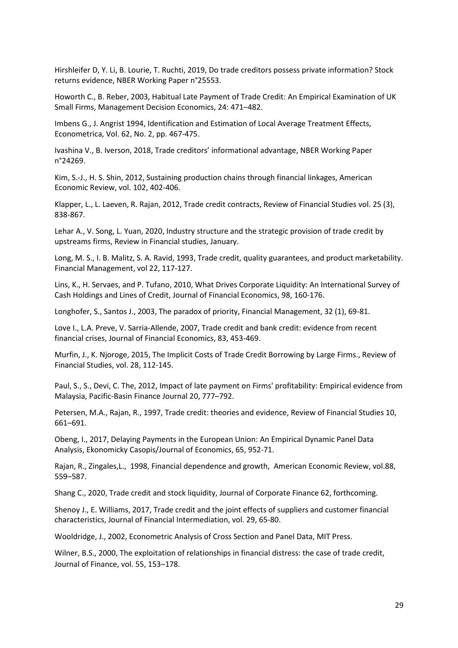Hirshleifer D, Y. Li, B. Lourie, T. Ruchti, 2019, Do trade creditors possess private information? Stock returns evidence, NBER Working Paper n°25553.

Howorth C., B. Reber, 2003, Habitual Late Payment of Trade Credit: An Empirical Examination of UK Small Firms, Management Decision Economics, 24: 471–482.

Imbens G., J. Angrist 1994, Identification and Estimation of Local Average Treatment Effects, Econometrica, Vol. 62, No. 2, pp. 467-475.

Ivashina V., B. Iverson, 2018, Trade creditors' informational advantage, NBER Working Paper n°24269.

Kim, S.-J., H. S. Shin, 2012, Sustaining production chains through financial linkages, American Economic Review, vol. 102, 402-406.

Klapper, L., L. Laeven, R. Rajan, 2012, Trade credit contracts, Review of Financial Studies vol. 25 (3), 838-867.

Lehar A., V. Song, L. Yuan, 2020, Industry structure and the strategic provision of trade credit by upstreams firms, Review in Financial studies, January.

Long, M. S., I. B. Malitz, S. A. Ravid, 1993, Trade credit, quality guarantees, and product marketability. Financial Management, vol 22, 117-127.

Lins, K., H. Servaes, and P. Tufano, 2010, What Drives Corporate Liquidity: An International Survey of Cash Holdings and Lines of Credit, Journal of Financial Economics, 98, 160-176.

Longhofer, S., Santos J., 2003, The paradox of priority, Financial Management, 32 (1), 69-81.

Love I., L.A. Preve, V. Sarria-Allende, 2007, Trade credit and bank credit: evidence from recent financial crises, Journal of Financial Economics, 83, 453-469.

Murfin, J., K. Njoroge, 2015, The Implicit Costs of Trade Credit Borrowing by Large Firms., Review of Financial Studies, vol. 28, 112-145.

Paul, S., S., Devi, C. The, 2012, Impact of late payment on Firms' profitability: Empirical evidence from Malaysia, Pacific-Basin Finance Journal 20, 777–792.

Petersen, M.A., Rajan, R., 1997, Trade credit: theories and evidence, Review of Financial Studies 10, 661–691.

Obeng, I., 2017, Delaying Payments in the European Union: An Empirical Dynamic Panel Data Analysis, Ekonomicky Casopis/Journal of Economics, 65, 952-71.

Rajan, R., Zingales,L., 1998, Financial dependence and growth, American Economic Review, vol.88, 559–587.

Shang C., 2020, Trade credit and stock liquidity, Journal of Corporate Finance 62, forthcoming.

Shenoy J., E. Williams, 2017, Trade credit and the joint effects of suppliers and customer financial characteristics, Journal of Financial Intermediation, vol. 29, 65-80.

Wooldridge, J., 2002, Econometric Analysis of Cross Section and Panel Data, MIT Press.

Wilner, B.S., 2000, The exploitation of relationships in financial distress: the case of trade credit, Journal of Finance, vol. 55, 153–178.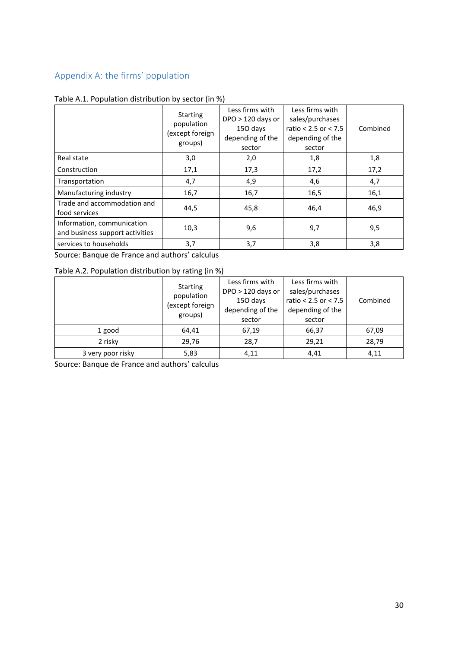## Appendix A: the firms' population

|                                                               | <b>Starting</b><br>population<br>(except foreign<br>groups) | Less firms with<br>$DPO > 120$ days or<br>150 days<br>depending of the<br>sector | Less firms with<br>sales/purchases<br>ratio $< 2.5$ or $< 7.5$<br>depending of the<br>sector | Combined |
|---------------------------------------------------------------|-------------------------------------------------------------|----------------------------------------------------------------------------------|----------------------------------------------------------------------------------------------|----------|
| Real state                                                    | 3,0                                                         | 2,0                                                                              | 1,8                                                                                          | 1,8      |
| Construction                                                  | 17,1                                                        | 17,3                                                                             | 17,2                                                                                         | 17,2     |
| Transportation                                                | 4,7                                                         | 4,9                                                                              | 4,6                                                                                          | 4,7      |
| Manufacturing industry                                        | 16,7                                                        | 16,7                                                                             | 16,5                                                                                         | 16,1     |
| Trade and accommodation and<br>food services                  | 44,5                                                        | 45,8                                                                             | 46,4                                                                                         | 46,9     |
| Information, communication<br>and business support activities | 10,3                                                        | 9,6                                                                              | 9,7                                                                                          | 9,5      |
| services to households                                        | 3,7                                                         | 3,7                                                                              | 3,8                                                                                          | 3,8      |

# Table A.1. Population distribution by sector (in %)

Source: Banque de France and authors' calculus

Table A.2. Population distribution by rating (in %)

|                   | <b>Starting</b><br>population<br>(except foreign<br>groups) | Less firms with<br>$DPO > 120$ days or<br>150 days<br>depending of the<br>sector | Less firms with<br>sales/purchases<br>ratio < $2.5$ or < $7.5$<br>depending of the<br>sector | Combined |
|-------------------|-------------------------------------------------------------|----------------------------------------------------------------------------------|----------------------------------------------------------------------------------------------|----------|
| 1 good            | 64,41                                                       | 67,19                                                                            | 66,37                                                                                        | 67,09    |
| 2 risky           | 29,76                                                       | 28,7                                                                             | 29,21                                                                                        | 28,79    |
| 3 very poor risky | 5,83                                                        | 4,11                                                                             | 4,41                                                                                         | 4,11     |

Source: Banque de France and authors' calculus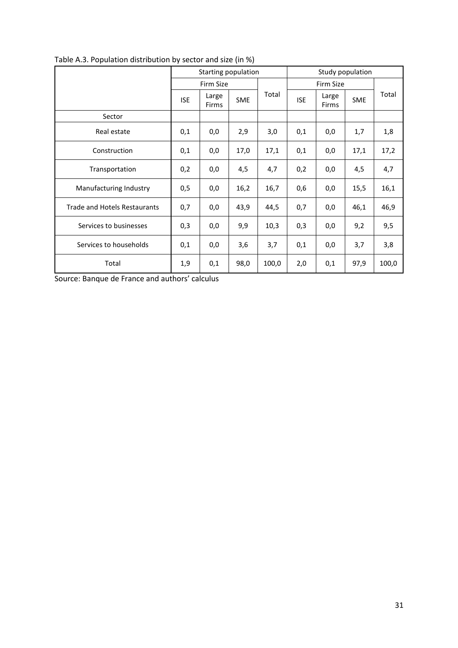|                              |            | Starting population |            |       | Study population |                |            |       |
|------------------------------|------------|---------------------|------------|-------|------------------|----------------|------------|-------|
|                              |            | Firm Size           |            |       | Firm Size        |                |            |       |
|                              | <b>ISE</b> | Large<br>Firms      | <b>SME</b> | Total | <b>ISE</b>       | Large<br>Firms | <b>SME</b> | Total |
| Sector                       |            |                     |            |       |                  |                |            |       |
| Real estate                  | 0,1        | 0,0                 | 2,9        | 3,0   | 0,1              | 0,0            | 1,7        | 1,8   |
| Construction                 | 0,1        | 0,0                 | 17,0       | 17,1  | 0,1              | 0,0            | 17,1       | 17,2  |
| Transportation               | 0,2        | 0,0                 | 4,5        | 4,7   | 0,2              | 0,0            | 4,5        | 4,7   |
| Manufacturing Industry       | 0,5        | 0,0                 | 16,2       | 16,7  | 0,6              | 0,0            | 15,5       | 16,1  |
| Trade and Hotels Restaurants | 0,7        | 0,0                 | 43,9       | 44,5  | 0,7              | 0,0            | 46,1       | 46,9  |
| Services to businesses       | 0,3        | 0,0                 | 9,9        | 10,3  | 0,3              | 0,0            | 9,2        | 9,5   |
| Services to households       | 0,1        | 0,0                 | 3,6        | 3,7   | 0,1              | 0,0            | 3,7        | 3,8   |
| Total                        | 1,9        | 0,1                 | 98,0       | 100,0 | 2,0              | 0,1            | 97,9       | 100,0 |

Table A.3. Population distribution by sector and size (in %)

Source: Banque de France and authors' calculus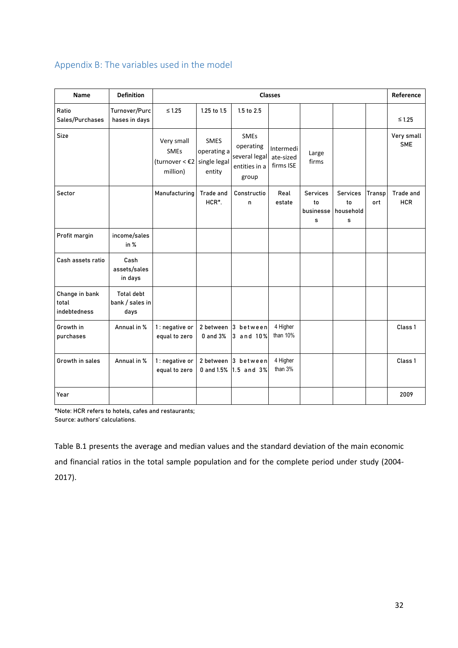## Appendix B: The variables used in the model

| <b>Name</b>                             | <b>Definition</b>                            |                                                              |                                                      |                                                                     | <b>Classes</b>                      |                                         |                                         |                      | Reference                      |
|-----------------------------------------|----------------------------------------------|--------------------------------------------------------------|------------------------------------------------------|---------------------------------------------------------------------|-------------------------------------|-----------------------------------------|-----------------------------------------|----------------------|--------------------------------|
| Ratio<br>Sales/Purchases                | Turnover/Purc<br>hases in days               | $\leq 1.25$                                                  | 1.25 to 1.5                                          | 1.5 to 2.5                                                          |                                     |                                         |                                         |                      | $≤ 1.25$                       |
| Size                                    |                                              | Very small<br>SMEs<br>(turnover $<$ $\epsilon$ 2<br>million) | <b>SMES</b><br>operating a<br>single legal<br>entity | <b>SMEs</b><br>operating<br>several legal<br>entities in a<br>group | Intermedi<br>ate-sized<br>firms ISE | Large<br>firms                          |                                         |                      | Very small<br><b>SME</b>       |
| Sector                                  |                                              | Manufacturing                                                | Trade and<br>HCR*.                                   | Constructio<br>n                                                    | Real<br>estate                      | <b>Services</b><br>to<br>businesse<br>s | <b>Services</b><br>to<br>household<br>s | <b>Transp</b><br>ort | <b>Trade and</b><br><b>HCR</b> |
| Profit margin                           | income/sales<br>in %                         |                                                              |                                                      |                                                                     |                                     |                                         |                                         |                      |                                |
| Cash assets ratio                       | Cash<br>assets/sales<br>in days              |                                                              |                                                      |                                                                     |                                     |                                         |                                         |                      |                                |
| Change in bank<br>total<br>indebtedness | <b>Total debt</b><br>bank / sales in<br>days |                                                              |                                                      |                                                                     |                                     |                                         |                                         |                      |                                |
| Growth in<br>purchases                  | Annual in %                                  | 1: negative or<br>equal to zero                              | 2 between<br>0 and 3%                                | 3 between<br>3 and 10%                                              | 4 Higher<br>than 10%                |                                         |                                         |                      | Class 1                        |
| Growth in sales                         | Annual in %                                  | 1 : negative or<br>equal to zero                             |                                                      | 2 between 3 between<br>0 and 1.5% 1.5 and 3%                        | 4 Higher<br>than 3%                 |                                         |                                         |                      | Class 1                        |
| Year                                    |                                              |                                                              |                                                      |                                                                     |                                     |                                         |                                         |                      | 2009                           |

\*Note: HCR refers to hotels, cafes and restaurants; Source: authors' calculations.

Table B.1 presents the average and median values and the standard deviation of the main economic and financial ratios in the total sample population and for the complete period under study (2004- 2017).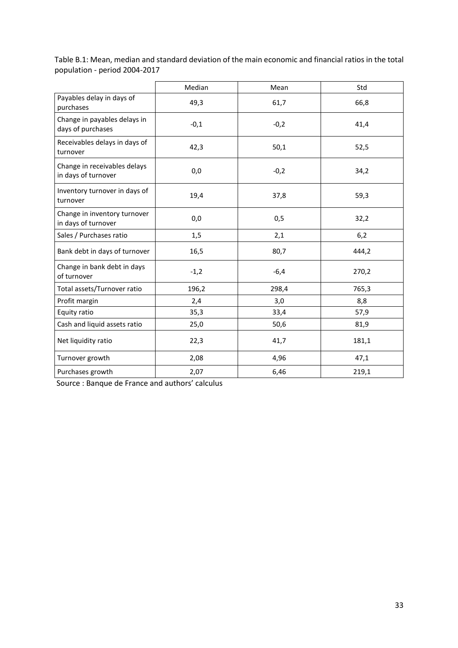Table B.1: Mean, median and standard deviation of the main economic and financial ratios in the total population - period 2004-2017

|                                                     | Median | Mean   | Std   |
|-----------------------------------------------------|--------|--------|-------|
| Payables delay in days of<br>purchases              | 49,3   | 61,7   | 66,8  |
| Change in payables delays in<br>days of purchases   | $-0,1$ | $-0,2$ | 41,4  |
| Receivables delays in days of<br>turnover           | 42,3   | 50,1   | 52,5  |
| Change in receivables delays<br>in days of turnover | 0,0    | $-0,2$ | 34,2  |
| Inventory turnover in days of<br>turnover           | 19,4   | 37,8   | 59,3  |
| Change in inventory turnover<br>in days of turnover | 0,0    | 0,5    | 32,2  |
| Sales / Purchases ratio                             | 1,5    | 2,1    | 6,2   |
| Bank debt in days of turnover                       | 16,5   | 80,7   | 444,2 |
| Change in bank debt in days<br>of turnover          | $-1,2$ | $-6,4$ | 270,2 |
| Total assets/Turnover ratio                         | 196,2  | 298,4  | 765,3 |
| Profit margin                                       | 2,4    | 3,0    | 8,8   |
| Equity ratio                                        | 35,3   | 33,4   | 57,9  |
| Cash and liquid assets ratio                        | 25,0   | 50,6   | 81,9  |
| Net liquidity ratio                                 | 22,3   | 41,7   | 181,1 |
| Turnover growth                                     | 2,08   | 4,96   | 47,1  |
| Purchases growth                                    | 2,07   | 6,46   | 219,1 |

Source : Banque de France and authors' calculus